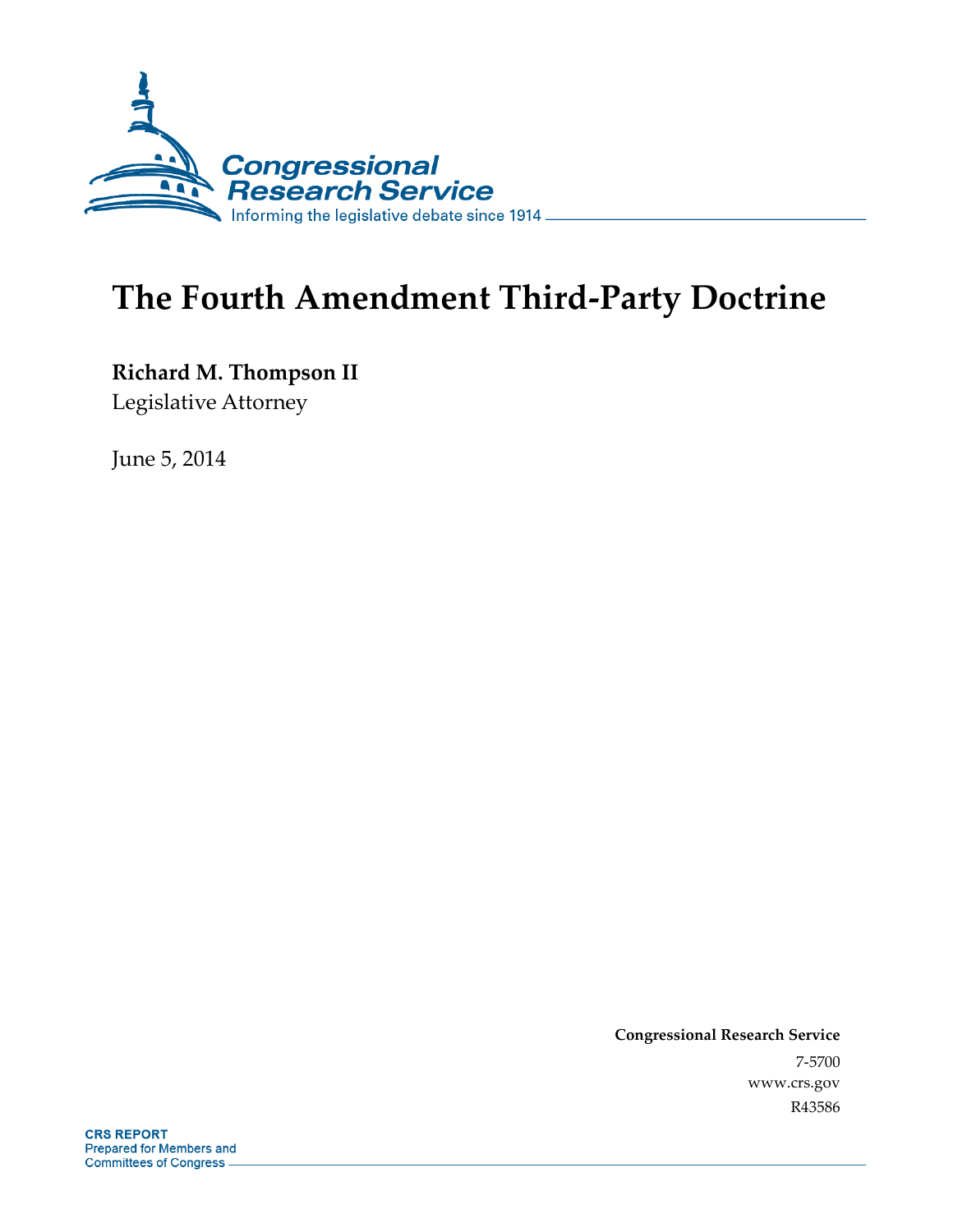

# **The Fourth Amendment Third-Party Doctrine**

**Richard M. Thompson II** 

Legislative Attorney

June 5, 2014

**Congressional Research Service**  7-5700 www.crs.gov R43586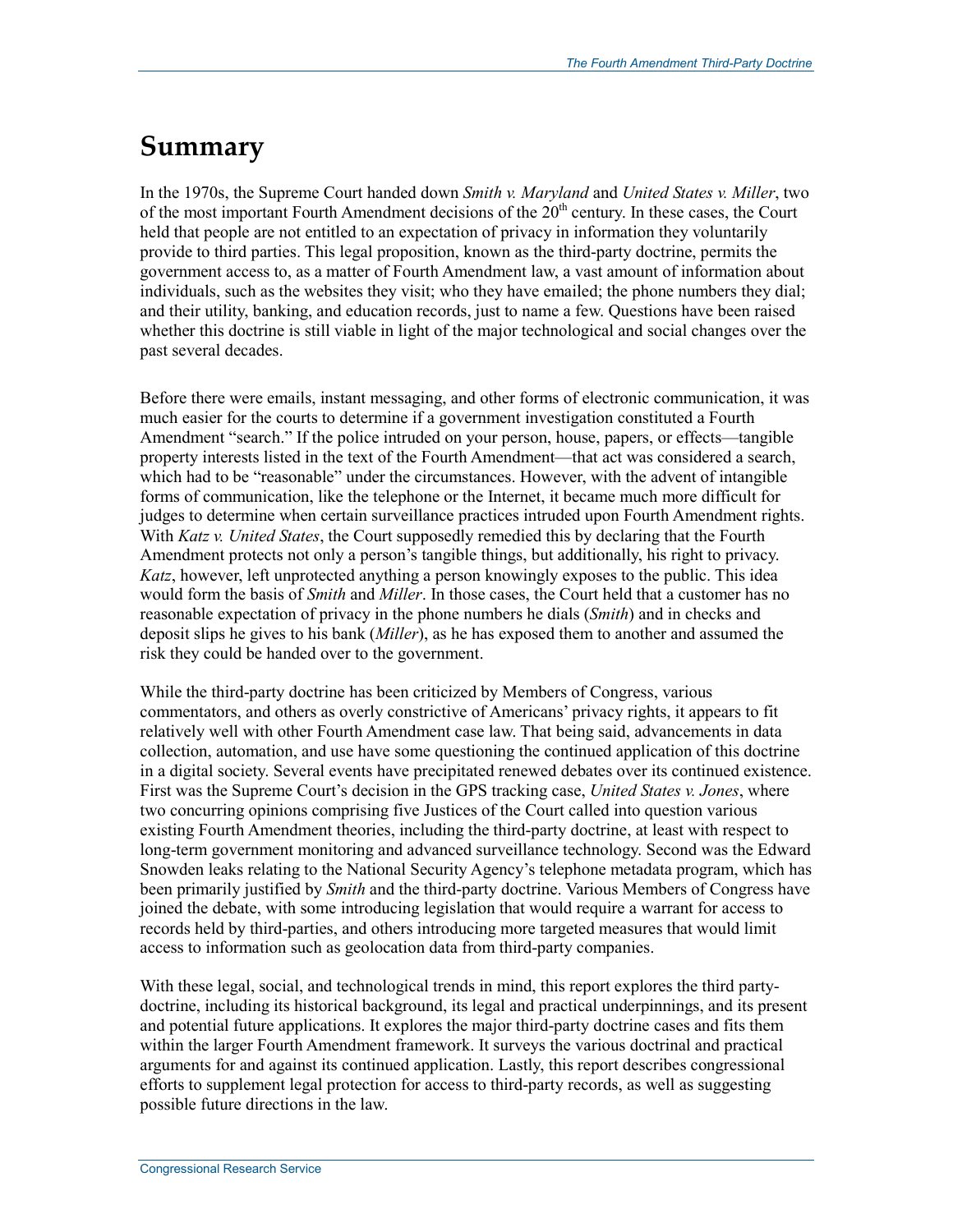### **Summary**

In the 1970s, the Supreme Court handed down *Smith v. Maryland* and *United States v. Miller*, two of the most important Fourth Amendment decisions of the  $20<sup>th</sup>$  century. In these cases, the Court held that people are not entitled to an expectation of privacy in information they voluntarily provide to third parties. This legal proposition, known as the third-party doctrine, permits the government access to, as a matter of Fourth Amendment law, a vast amount of information about individuals, such as the websites they visit; who they have emailed; the phone numbers they dial; and their utility, banking, and education records, just to name a few. Questions have been raised whether this doctrine is still viable in light of the major technological and social changes over the past several decades.

Before there were emails, instant messaging, and other forms of electronic communication, it was much easier for the courts to determine if a government investigation constituted a Fourth Amendment "search." If the police intruded on your person, house, papers, or effects—tangible property interests listed in the text of the Fourth Amendment—that act was considered a search, which had to be "reasonable" under the circumstances. However, with the advent of intangible forms of communication, like the telephone or the Internet, it became much more difficult for judges to determine when certain surveillance practices intruded upon Fourth Amendment rights. With *Katz v. United States*, the Court supposedly remedied this by declaring that the Fourth Amendment protects not only a person's tangible things, but additionally, his right to privacy. *Katz*, however, left unprotected anything a person knowingly exposes to the public. This idea would form the basis of *Smith* and *Miller*. In those cases, the Court held that a customer has no reasonable expectation of privacy in the phone numbers he dials (*Smith*) and in checks and deposit slips he gives to his bank (*Miller*), as he has exposed them to another and assumed the risk they could be handed over to the government.

While the third-party doctrine has been criticized by Members of Congress, various commentators, and others as overly constrictive of Americans' privacy rights, it appears to fit relatively well with other Fourth Amendment case law. That being said, advancements in data collection, automation, and use have some questioning the continued application of this doctrine in a digital society. Several events have precipitated renewed debates over its continued existence. First was the Supreme Court's decision in the GPS tracking case, *United States v. Jones*, where two concurring opinions comprising five Justices of the Court called into question various existing Fourth Amendment theories, including the third-party doctrine, at least with respect to long-term government monitoring and advanced surveillance technology. Second was the Edward Snowden leaks relating to the National Security Agency's telephone metadata program, which has been primarily justified by *Smith* and the third-party doctrine. Various Members of Congress have joined the debate, with some introducing legislation that would require a warrant for access to records held by third-parties, and others introducing more targeted measures that would limit access to information such as geolocation data from third-party companies.

With these legal, social, and technological trends in mind, this report explores the third partydoctrine, including its historical background, its legal and practical underpinnings, and its present and potential future applications. It explores the major third-party doctrine cases and fits them within the larger Fourth Amendment framework. It surveys the various doctrinal and practical arguments for and against its continued application. Lastly, this report describes congressional efforts to supplement legal protection for access to third-party records, as well as suggesting possible future directions in the law.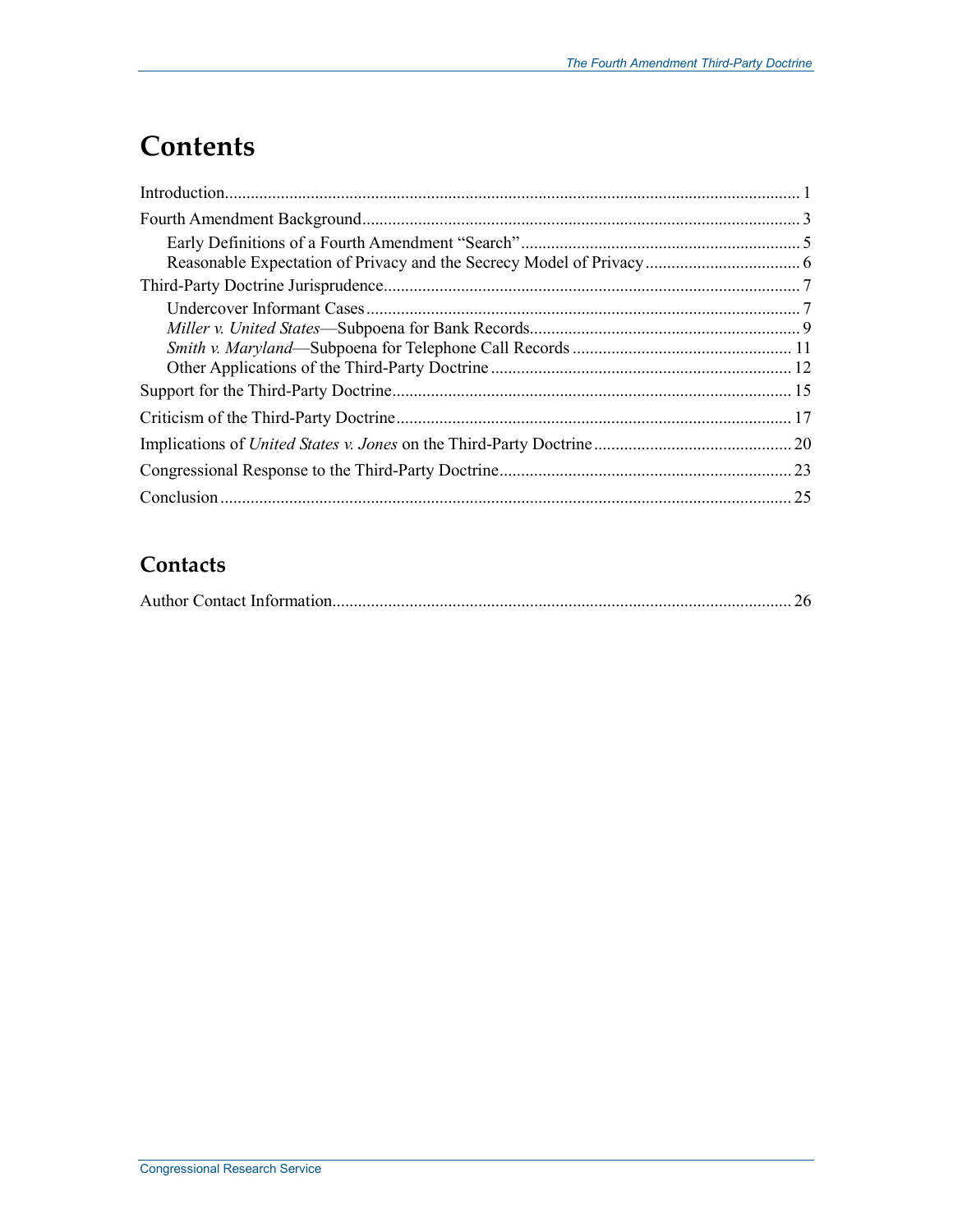# **Contents**

### **Contacts**

|--|--|--|--|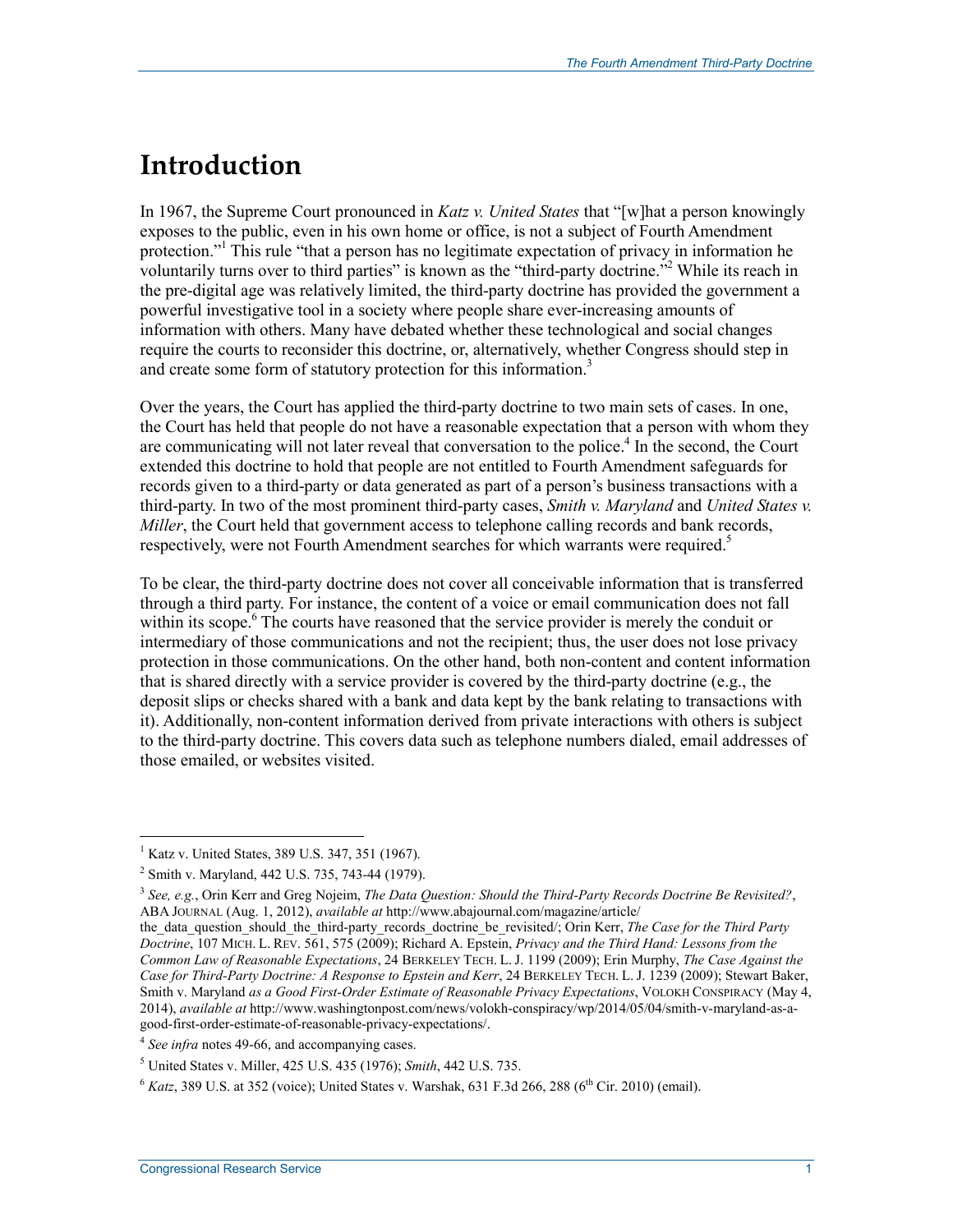### **Introduction**

In 1967, the Supreme Court pronounced in *Katz v. United States* that "[w]hat a person knowingly exposes to the public, even in his own home or office, is not a subject of Fourth Amendment protection."<sup>1</sup> This rule "that a person has no legitimate expectation of privacy in information he voluntarily turns over to third parties" is known as the "third-party doctrine."<sup>2</sup> While its reach in the pre-digital age was relatively limited, the third-party doctrine has provided the government a powerful investigative tool in a society where people share ever-increasing amounts of information with others. Many have debated whether these technological and social changes require the courts to reconsider this doctrine, or, alternatively, whether Congress should step in and create some form of statutory protection for this information.<sup>3</sup>

Over the years, the Court has applied the third-party doctrine to two main sets of cases. In one, the Court has held that people do not have a reasonable expectation that a person with whom they are communicating will not later reveal that conversation to the police.<sup>4</sup> In the second, the Court extended this doctrine to hold that people are not entitled to Fourth Amendment safeguards for records given to a third-party or data generated as part of a person's business transactions with a third-party. In two of the most prominent third-party cases, *Smith v. Maryland* and *United States v. Miller*, the Court held that government access to telephone calling records and bank records. respectively, were not Fourth Amendment searches for which warrants were required.<sup>5</sup>

To be clear, the third-party doctrine does not cover all conceivable information that is transferred through a third party. For instance, the content of a voice or email communication does not fall within its scope.<sup>6</sup> The courts have reasoned that the service provider is merely the conduit or intermediary of those communications and not the recipient; thus, the user does not lose privacy protection in those communications. On the other hand, both non-content and content information that is shared directly with a service provider is covered by the third-party doctrine (e.g., the deposit slips or checks shared with a bank and data kept by the bank relating to transactions with it). Additionally, non-content information derived from private interactions with others is subject to the third-party doctrine. This covers data such as telephone numbers dialed, email addresses of those emailed, or websites visited.

<sup>&</sup>lt;sup>1</sup> Katz v. United States, 389 U.S. 347, 351 (1967).

<sup>&</sup>lt;sup>2</sup> Smith v. Maryland, 442 U.S. 735, 743-44 (1979).

<sup>3</sup> *See, e.g.*, Orin Kerr and Greg Nojeim, *The Data Question: Should the Third-Party Records Doctrine Be Revisited?*, ABA JOURNAL (Aug. 1, 2012), *available at* http://www.abajournal.com/magazine/article/

the data question should the third-party records doctrine be revisited/; Orin Kerr, *The Case for the Third Party Doctrine*, 107 MICH. L. REV. 561, 575 (2009); Richard A. Epstein, *Privacy and the Third Hand: Lessons from the Common Law of Reasonable Expectations*, 24 BERKELEY TECH. L. J. 1199 (2009); Erin Murphy, *The Case Against the Case for Third-Party Doctrine: A Response to Epstein and Kerr*, 24 BERKELEY TECH. L. J. 1239 (2009); Stewart Baker, Smith v. Maryland *as a Good First-Order Estimate of Reasonable Privacy Expectations*, VOLOKH CONSPIRACY (May 4, 2014), *available at* http://www.washingtonpost.com/news/volokh-conspiracy/wp/2014/05/04/smith-v-maryland-as-agood-first-order-estimate-of-reasonable-privacy-expectations/.

<sup>4</sup> *See infra* notes 49-66, and accompanying cases.

<sup>5</sup> United States v. Miller, 425 U.S. 435 (1976); *Smith*, 442 U.S. 735.

 $^{6}$  *Katz*, 389 U.S. at 352 (voice); United States v. Warshak, 631 F.3d 266, 288 (6<sup>th</sup> Cir. 2010) (email).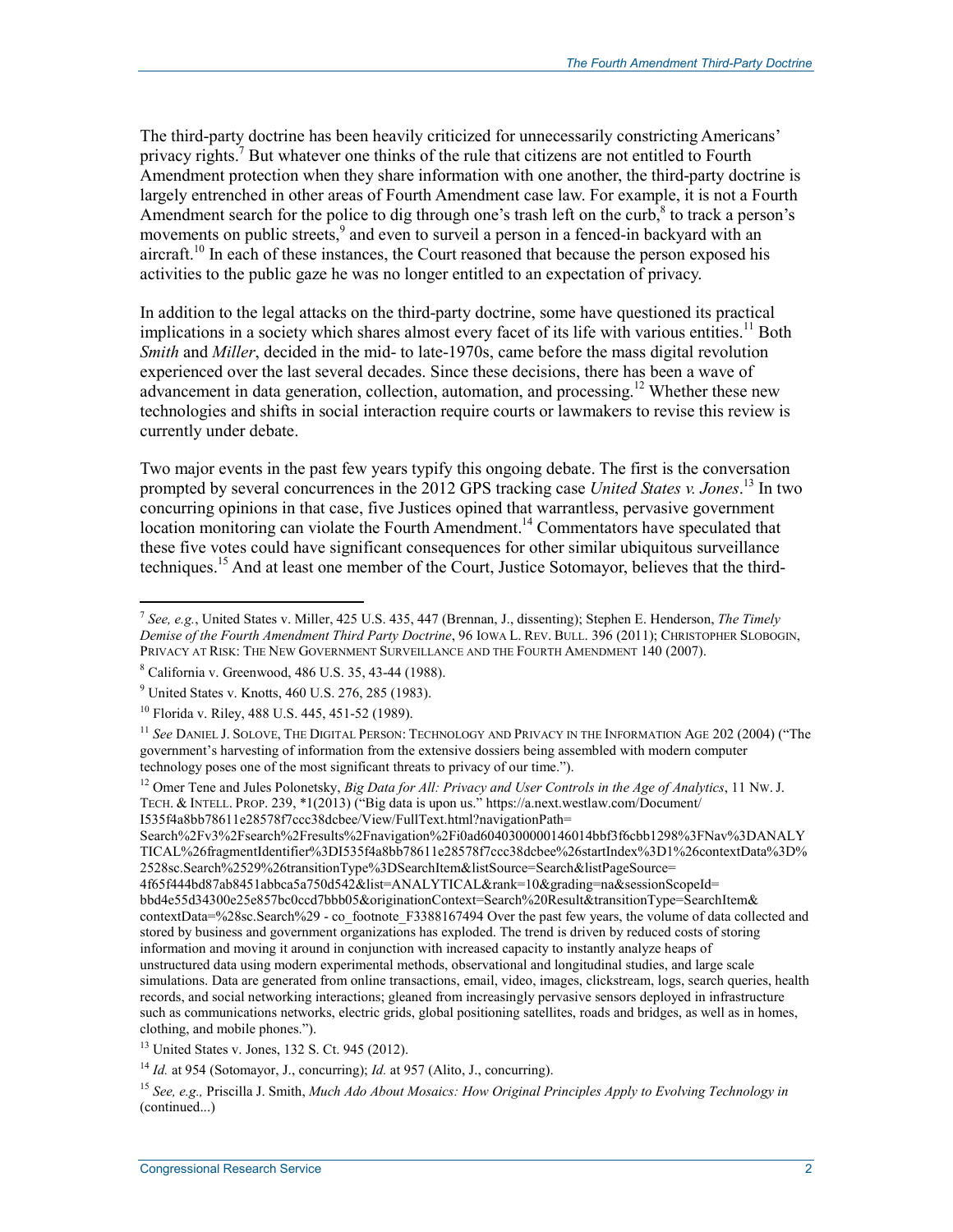The third-party doctrine has been heavily criticized for unnecessarily constricting Americans' privacy rights.<sup>7</sup> But whatever one thinks of the rule that citizens are not entitled to Fourth Amendment protection when they share information with one another, the third-party doctrine is largely entrenched in other areas of Fourth Amendment case law. For example, it is not a Fourth Amendment search for the police to dig through one's trash left on the curb, $\delta$  to track a person's movements on public streets,<sup>9</sup> and even to surveil a person in a fenced-in backyard with an aircraft.<sup>10</sup> In each of these instances, the Court reasoned that because the person exposed his activities to the public gaze he was no longer entitled to an expectation of privacy.

In addition to the legal attacks on the third-party doctrine, some have questioned its practical implications in a society which shares almost every facet of its life with various entities.<sup>11</sup> Both *Smith* and *Miller*, decided in the mid- to late-1970s, came before the mass digital revolution experienced over the last several decades. Since these decisions, there has been a wave of advancement in data generation, collection, automation, and processing.<sup>12</sup> Whether these new technologies and shifts in social interaction require courts or lawmakers to revise this review is currently under debate.

Two major events in the past few years typify this ongoing debate. The first is the conversation prompted by several concurrences in the 2012 GPS tracking case *United States v. Jones*. 13 In two concurring opinions in that case, five Justices opined that warrantless, pervasive government location monitoring can violate the Fourth Amendment.<sup>14</sup> Commentators have speculated that these five votes could have significant consequences for other similar ubiquitous surveillance techniques.15 And at least one member of the Court, Justice Sotomayor, believes that the third-

1

Search%2Fv3%2Fsearch%2Fresults%2Fnavigation%2Fi0ad6040300000146014bbf3f6cbb1298%3FNav%3DANALY TICAL%26fragmentIdentifier%3DI535f4a8bb78611e28578f7ccc38dcbee%26startIndex%3D1%26contextData%3D% 2528sc.Search%2529%26transitionType%3DSearchItem&listSource=Search&listPageSource= 4f65f444bd87ab8451abbca5a750d542&list=ANALYTICAL&rank=10&grading=na&sessionScopeId= bbd4e55d34300e25e857bc0ccd7bbb05&originationContext=Search%20Result&transitionType=SearchItem& contextData=%28sc.Search%29 - co\_footnote\_F3388167494 Over the past few years, the volume of data collected and stored by business and government organizations has exploded. The trend is driven by reduced costs of storing information and moving it around in conjunction with increased capacity to instantly analyze heaps of unstructured data using modern experimental methods, observational and longitudinal studies, and large scale simulations. Data are generated from online transactions, email, video, images, clickstream, logs, search queries, health records, and social networking interactions; gleaned from increasingly pervasive sensors deployed in infrastructure such as communications networks, electric grids, global positioning satellites, roads and bridges, as well as in homes, clothing, and mobile phones.").

<sup>7</sup> *See, e.g.*, United States v. Miller, 425 U.S. 435, 447 (Brennan, J., dissenting); Stephen E. Henderson, *The Timely Demise of the Fourth Amendment Third Party Doctrine*, 96 IOWA L. REV. BULL. 396 (2011); CHRISTOPHER SLOBOGIN, PRIVACY AT RISK: THE NEW GOVERNMENT SURVEILLANCE AND THE FOURTH AMENDMENT 140 (2007).

<sup>8</sup> California v. Greenwood, 486 U.S. 35, 43-44 (1988).

<sup>&</sup>lt;sup>9</sup> United States v. Knotts, 460 U.S. 276, 285 (1983).

<sup>10</sup> Florida v. Riley, 488 U.S. 445, 451-52 (1989).

<sup>11</sup> *See* DANIEL J. SOLOVE, THE DIGITAL PERSON: TECHNOLOGY AND PRIVACY IN THE INFORMATION AGE 202 (2004) ("The government's harvesting of information from the extensive dossiers being assembled with modern computer technology poses one of the most significant threats to privacy of our time.").

<sup>&</sup>lt;sup>12</sup> Omer Tene and Jules Polonetsky, *Big Data for All: Privacy and User Controls in the Age of Analytics*, 11 Nw. J. TECH. & INTELL. PROP. 239, \*1(2013) ("Big data is upon us." https://a.next.westlaw.com/Document/ I535f4a8bb78611e28578f7ccc38dcbee/View/FullText.html?navigationPath=

<sup>13</sup> United States v. Jones, 132 S. Ct. 945 (2012).

<sup>14</sup> *Id.* at 954 (Sotomayor, J., concurring); *Id.* at 957 (Alito, J., concurring).

<sup>15</sup> *See, e.g.,* Priscilla J. Smith, *Much Ado About Mosaics: How Original Principles Apply to Evolving Technology in* (continued...)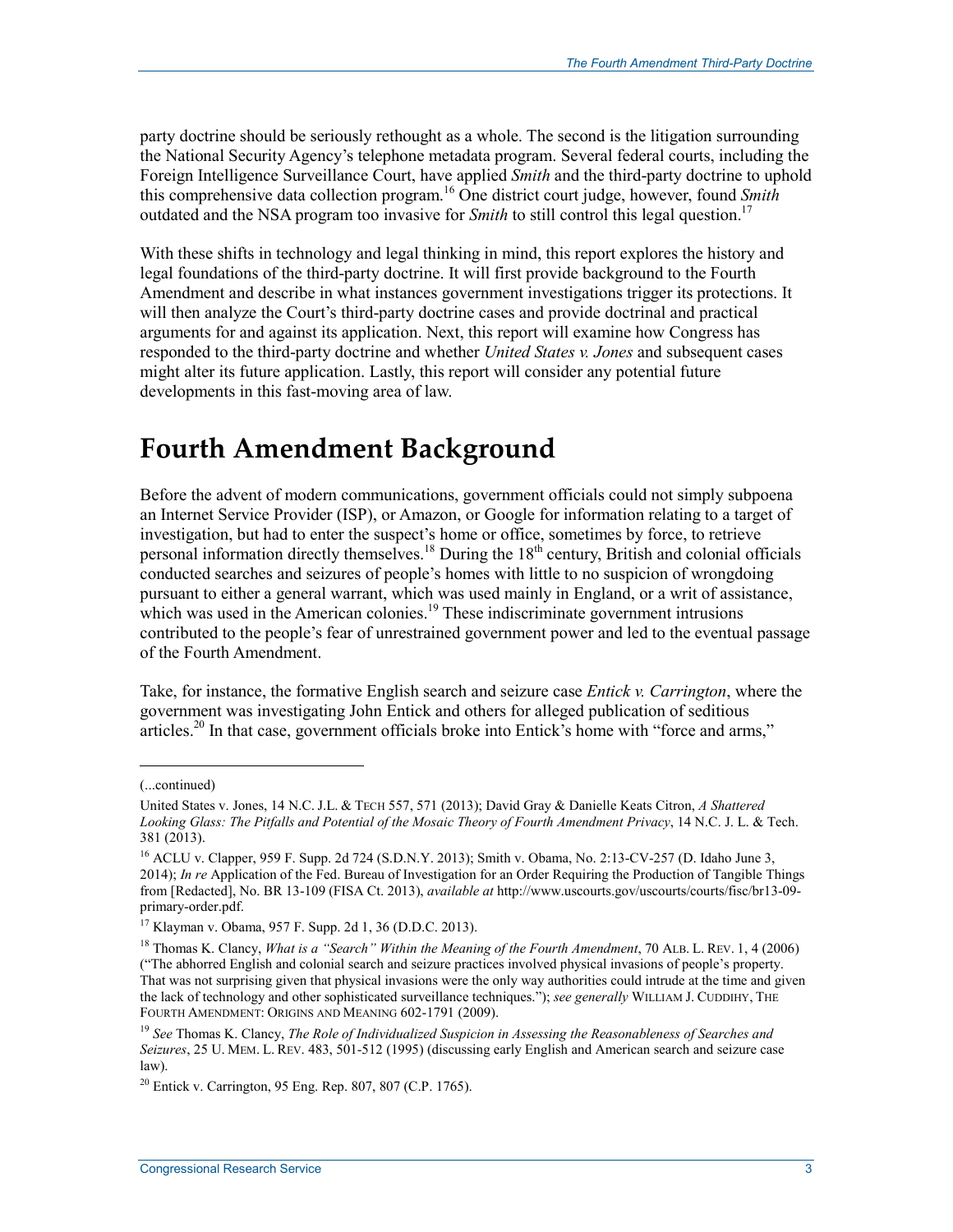party doctrine should be seriously rethought as a whole. The second is the litigation surrounding the National Security Agency's telephone metadata program. Several federal courts, including the Foreign Intelligence Surveillance Court, have applied *Smith* and the third-party doctrine to uphold this comprehensive data collection program.16 One district court judge, however, found *Smith* outdated and the NSA program too invasive for *Smith* to still control this legal question.<sup>17</sup>

With these shifts in technology and legal thinking in mind, this report explores the history and legal foundations of the third-party doctrine. It will first provide background to the Fourth Amendment and describe in what instances government investigations trigger its protections. It will then analyze the Court's third-party doctrine cases and provide doctrinal and practical arguments for and against its application. Next, this report will examine how Congress has responded to the third-party doctrine and whether *United States v. Jones* and subsequent cases might alter its future application. Lastly, this report will consider any potential future developments in this fast-moving area of law.

### **Fourth Amendment Background**

Before the advent of modern communications, government officials could not simply subpoena an Internet Service Provider (ISP), or Amazon, or Google for information relating to a target of investigation, but had to enter the suspect's home or office, sometimes by force, to retrieve personal information directly themselves.<sup>18</sup> During the 18<sup>th</sup> century, British and colonial officials conducted searches and seizures of people's homes with little to no suspicion of wrongdoing pursuant to either a general warrant, which was used mainly in England, or a writ of assistance, which was used in the American colonies.<sup>19</sup> These indiscriminate government intrusions contributed to the people's fear of unrestrained government power and led to the eventual passage of the Fourth Amendment.

Take, for instance, the formative English search and seizure case *Entick v. Carrington*, where the government was investigating John Entick and others for alleged publication of seditious articles.<sup>20</sup> In that case, government officials broke into Entick's home with "force and arms,"

<sup>(...</sup>continued)

United States v. Jones, 14 N.C. J.L. & TECH 557, 571 (2013); David Gray & Danielle Keats Citron, *A Shattered Looking Glass: The Pitfalls and Potential of the Mosaic Theory of Fourth Amendment Privacy*, 14 N.C. J. L. & Tech. 381 (2013).

<sup>&</sup>lt;sup>16</sup> ACLU v. Clapper, 959 F. Supp. 2d 724 (S.D.N.Y. 2013); Smith v. Obama, No. 2:13-CV-257 (D. Idaho June 3, 2014); *In re* Application of the Fed. Bureau of Investigation for an Order Requiring the Production of Tangible Things from [Redacted], No. BR 13-109 (FISA Ct. 2013), *available at* http://www.uscourts.gov/uscourts/courts/fisc/br13-09 primary-order.pdf.

<sup>17</sup> Klayman v. Obama, 957 F. Supp. 2d 1, 36 (D.D.C. 2013).

<sup>18</sup> Thomas K. Clancy, *What is a "Search" Within the Meaning of the Fourth Amendment*, 70 ALB. L. REV. 1, 4 (2006) ("The abhorred English and colonial search and seizure practices involved physical invasions of people's property. That was not surprising given that physical invasions were the only way authorities could intrude at the time and given the lack of technology and other sophisticated surveillance techniques."); *see generally* WILLIAM J. CUDDIHY, THE FOURTH AMENDMENT: ORIGINS AND MEANING 602-1791 (2009).

<sup>19</sup> *See* Thomas K. Clancy, *The Role of Individualized Suspicion in Assessing the Reasonableness of Searches and Seizures*, 25 U. MEM. L. REV. 483, 501-512 (1995) (discussing early English and American search and seizure case law).

 $20$  Entick v. Carrington, 95 Eng. Rep. 807, 807 (C.P. 1765).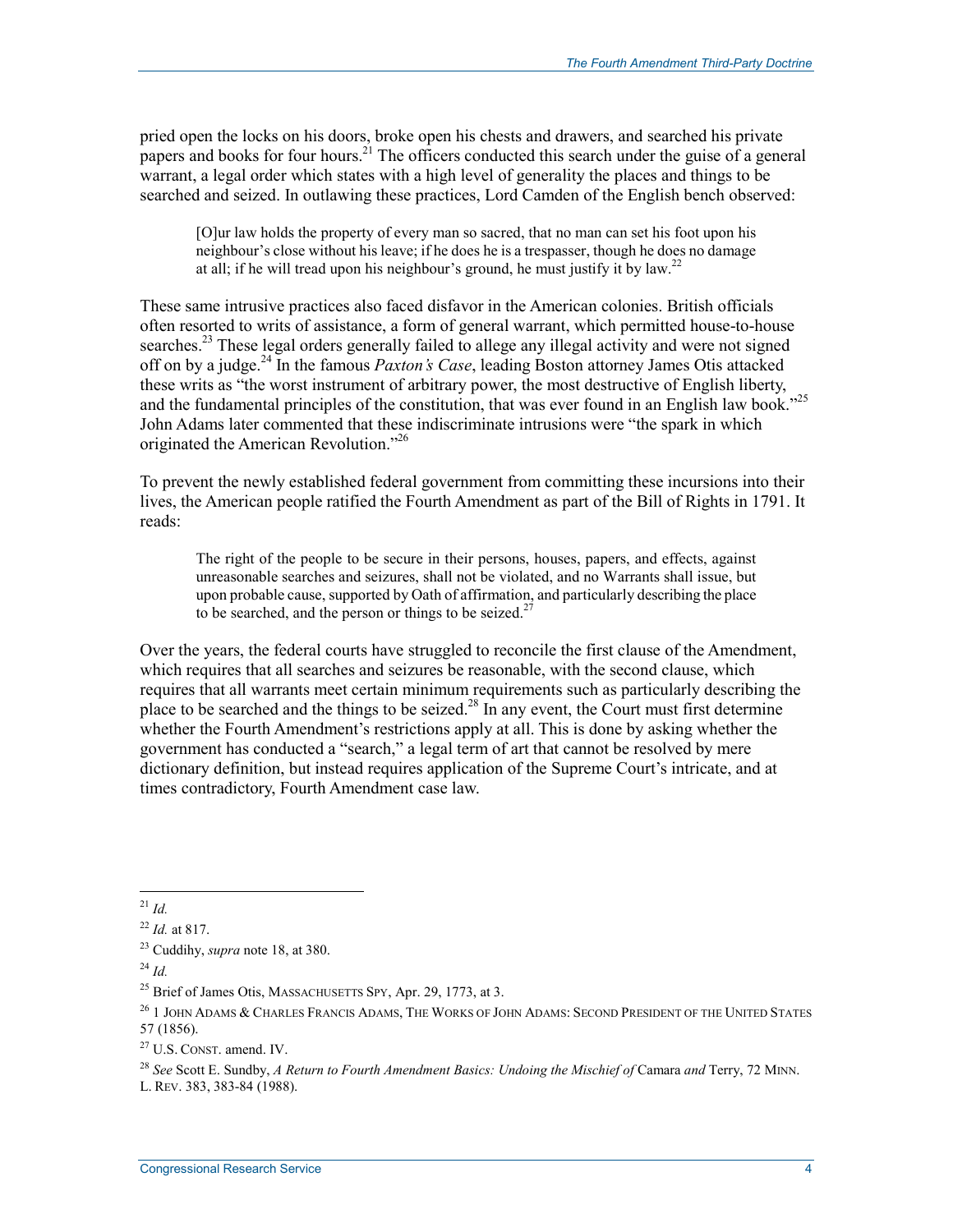pried open the locks on his doors, broke open his chests and drawers, and searched his private papers and books for four hours.<sup>21</sup> The officers conducted this search under the guise of a general warrant, a legal order which states with a high level of generality the places and things to be searched and seized. In outlawing these practices, Lord Camden of the English bench observed:

[O]ur law holds the property of every man so sacred, that no man can set his foot upon his neighbour's close without his leave; if he does he is a trespasser, though he does no damage at all; if he will tread upon his neighbour's ground, he must justify it by law.<sup>22</sup>

These same intrusive practices also faced disfavor in the American colonies. British officials often resorted to writs of assistance, a form of general warrant, which permitted house-to-house searches.<sup>23</sup> These legal orders generally failed to allege any illegal activity and were not signed off on by a judge.24 In the famous *Paxton's Case*, leading Boston attorney James Otis attacked these writs as "the worst instrument of arbitrary power, the most destructive of English liberty, and the fundamental principles of the constitution, that was ever found in an English law book." John Adams later commented that these indiscriminate intrusions were "the spark in which originated the American Revolution."26

To prevent the newly established federal government from committing these incursions into their lives, the American people ratified the Fourth Amendment as part of the Bill of Rights in 1791. It reads:

The right of the people to be secure in their persons, houses, papers, and effects, against unreasonable searches and seizures, shall not be violated, and no Warrants shall issue, but upon probable cause, supported by Oath of affirmation, and particularly describing the place to be searched, and the person or things to be seized.<sup>27</sup>

Over the years, the federal courts have struggled to reconcile the first clause of the Amendment, which requires that all searches and seizures be reasonable, with the second clause, which requires that all warrants meet certain minimum requirements such as particularly describing the place to be searched and the things to be seized.<sup>28</sup> In any event, the Court must first determine whether the Fourth Amendment's restrictions apply at all. This is done by asking whether the government has conducted a "search," a legal term of art that cannot be resolved by mere dictionary definition, but instead requires application of the Supreme Court's intricate, and at times contradictory, Fourth Amendment case law.

<sup>1</sup>  $^{21}$  *Id.* 

<sup>22</sup> *Id.* at 817.

<sup>23</sup> Cuddihy, *supra* note 18, at 380.

 $^{24}$  *Id.* 

<sup>&</sup>lt;sup>25</sup> Brief of James Otis, MASSACHUSETTS SPY, Apr. 29, 1773, at 3.

 $^{26}$  1 John Adams & Charles Francis Adams. The Works of John Adams: Second President of the United States 57 (1856).

<sup>27</sup> U.S. CONST. amend. IV.

<sup>28</sup> *See* Scott E. Sundby, *A Return to Fourth Amendment Basics: Undoing the Mischief of* Camara *and* Terry, 72 MINN.

L. REV. 383, 383-84 (1988).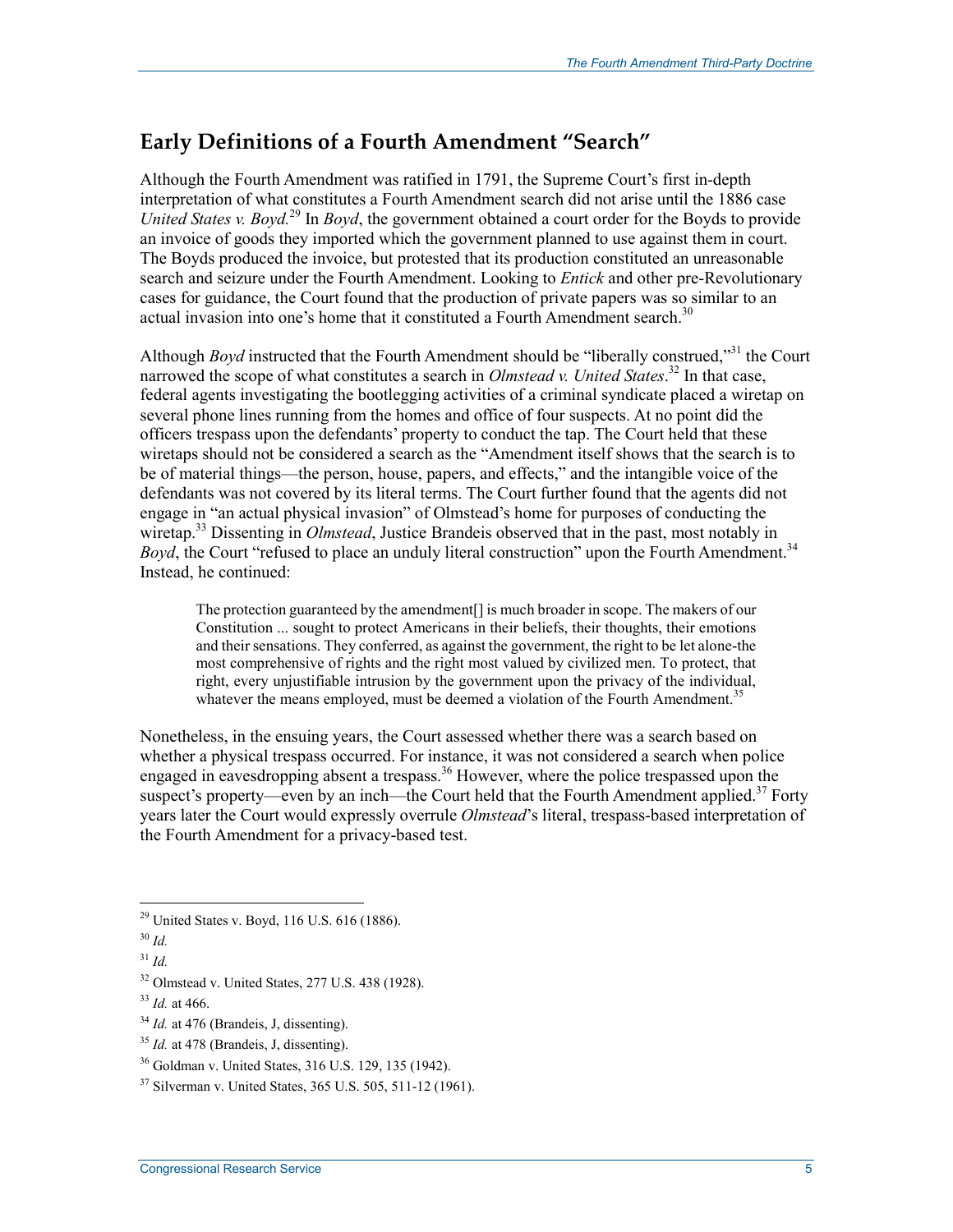#### **Early Definitions of a Fourth Amendment "Search"**

Although the Fourth Amendment was ratified in 1791, the Supreme Court's first in-depth interpretation of what constitutes a Fourth Amendment search did not arise until the 1886 case *United States v. Boyd.*29 In *Boyd*, the government obtained a court order for the Boyds to provide an invoice of goods they imported which the government planned to use against them in court. The Boyds produced the invoice, but protested that its production constituted an unreasonable search and seizure under the Fourth Amendment. Looking to *Entick* and other pre-Revolutionary cases for guidance, the Court found that the production of private papers was so similar to an actual invasion into one's home that it constituted a Fourth Amendment search.<sup>30</sup>

Although *Boyd* instructed that the Fourth Amendment should be "liberally construed,"31 the Court narrowed the scope of what constitutes a search in *Olmstead v. United States*. 32 In that case, federal agents investigating the bootlegging activities of a criminal syndicate placed a wiretap on several phone lines running from the homes and office of four suspects. At no point did the officers trespass upon the defendants' property to conduct the tap. The Court held that these wiretaps should not be considered a search as the "Amendment itself shows that the search is to be of material things—the person, house, papers, and effects," and the intangible voice of the defendants was not covered by its literal terms. The Court further found that the agents did not engage in "an actual physical invasion" of Olmstead's home for purposes of conducting the wiretap.33 Dissenting in *Olmstead*, Justice Brandeis observed that in the past, most notably in *Boyd*, the Court "refused to place an unduly literal construction" upon the Fourth Amendment.<sup>34</sup> Instead, he continued:

The protection guaranteed by the amendment[] is much broader in scope. The makers of our Constitution ... sought to protect Americans in their beliefs, their thoughts, their emotions and their sensations. They conferred, as against the government, the right to be let alone-the most comprehensive of rights and the right most valued by civilized men. To protect, that right, every unjustifiable intrusion by the government upon the privacy of the individual, whatever the means employed, must be deemed a violation of the Fourth Amendment.<sup>35</sup>

Nonetheless, in the ensuing years, the Court assessed whether there was a search based on whether a physical trespass occurred. For instance, it was not considered a search when police engaged in eavesdropping absent a trespass.<sup>36</sup> However, where the police trespassed upon the suspect's property—even by an inch—the Court held that the Fourth Amendment applied.<sup>37</sup> Forty years later the Court would expressly overrule *Olmstead*'s literal, trespass-based interpretation of the Fourth Amendment for a privacy-based test.

 $^{29}$  United States v. Boyd, 116 U.S. 616 (1886).

 $30$  *Id.* 

<sup>31</sup> *Id.*

<sup>32</sup> Olmstead v. United States, 277 U.S. 438 (1928).

<sup>33</sup> *Id.* at 466.

<sup>&</sup>lt;sup>34</sup> *Id.* at 476 (Brandeis, J, dissenting).

<sup>&</sup>lt;sup>35</sup> *Id.* at 478 (Brandeis, J, dissenting).

<sup>36</sup> Goldman v. United States, 316 U.S. 129, 135 (1942).

<sup>37</sup> Silverman v. United States, 365 U.S. 505, 511-12 (1961).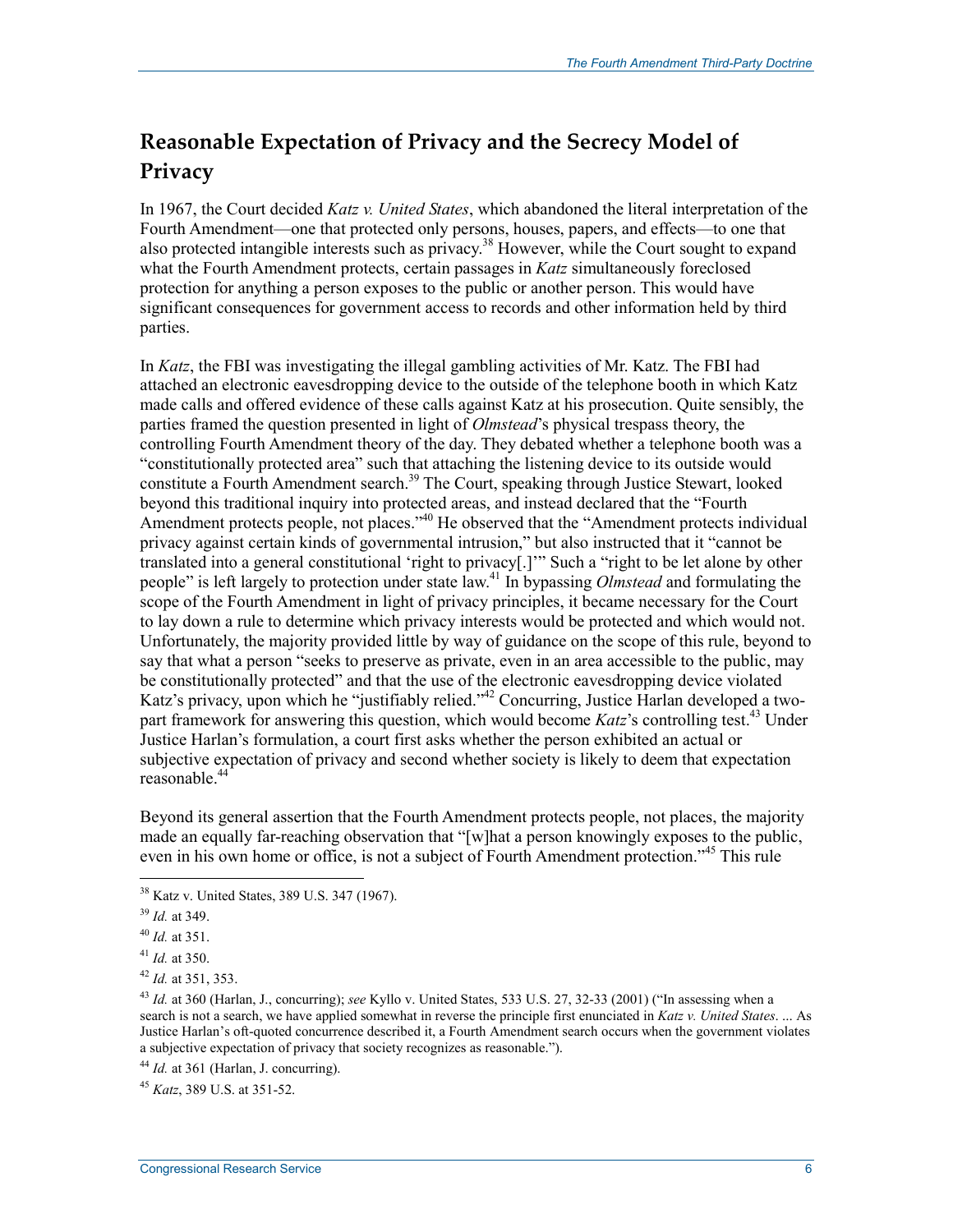### **Reasonable Expectation of Privacy and the Secrecy Model of Privacy**

In 1967, the Court decided *Katz v. United States*, which abandoned the literal interpretation of the Fourth Amendment—one that protected only persons, houses, papers, and effects—to one that also protected intangible interests such as privacy.<sup>38</sup> However, while the Court sought to expand what the Fourth Amendment protects, certain passages in *Katz* simultaneously foreclosed protection for anything a person exposes to the public or another person. This would have significant consequences for government access to records and other information held by third parties.

In *Katz*, the FBI was investigating the illegal gambling activities of Mr. Katz. The FBI had attached an electronic eavesdropping device to the outside of the telephone booth in which Katz made calls and offered evidence of these calls against Katz at his prosecution. Quite sensibly, the parties framed the question presented in light of *Olmstead*'s physical trespass theory, the controlling Fourth Amendment theory of the day. They debated whether a telephone booth was a "constitutionally protected area" such that attaching the listening device to its outside would constitute a Fourth Amendment search.<sup>39</sup> The Court, speaking through Justice Stewart, looked beyond this traditional inquiry into protected areas, and instead declared that the "Fourth Amendment protects people, not places.<sup>340</sup> He observed that the "Amendment protects individual privacy against certain kinds of governmental intrusion," but also instructed that it "cannot be translated into a general constitutional 'right to privacy[.]'" Such a "right to be let alone by other people" is left largely to protection under state law.41 In bypassing *Olmstead* and formulating the scope of the Fourth Amendment in light of privacy principles, it became necessary for the Court to lay down a rule to determine which privacy interests would be protected and which would not. Unfortunately, the majority provided little by way of guidance on the scope of this rule, beyond to say that what a person "seeks to preserve as private, even in an area accessible to the public, may be constitutionally protected" and that the use of the electronic eavesdropping device violated Katz's privacy, upon which he "justifiably relied."42 Concurring, Justice Harlan developed a twopart framework for answering this question, which would become *Katz*'s controlling test.<sup>43</sup> Under Justice Harlan's formulation, a court first asks whether the person exhibited an actual or subjective expectation of privacy and second whether society is likely to deem that expectation reasonable.<sup>44</sup>

Beyond its general assertion that the Fourth Amendment protects people, not places, the majority made an equally far-reaching observation that "[w]hat a person knowingly exposes to the public, even in his own home or office, is not a subject of Fourth Amendment protection."<sup>45</sup> This rule

<sup>38</sup> Katz v. United States, 389 U.S. 347 (1967).

<sup>39</sup> *Id.* at 349.

<sup>40</sup> *Id.* at 351.

<sup>41</sup> *Id.* at 350.

<sup>42</sup> *Id.* at 351, 353.

<sup>43</sup> *Id.* at 360 (Harlan, J., concurring); *see* Kyllo v. United States, 533 U.S. 27, 32-33 (2001) ("In assessing when a search is not a search, we have applied somewhat in reverse the principle first enunciated in *Katz v. United States*. ... As Justice Harlan's oft-quoted concurrence described it, a Fourth Amendment search occurs when the government violates a subjective expectation of privacy that society recognizes as reasonable.").

<sup>44</sup> *Id.* at 361 (Harlan, J. concurring).

<sup>45</sup> *Katz*, 389 U.S. at 351-52.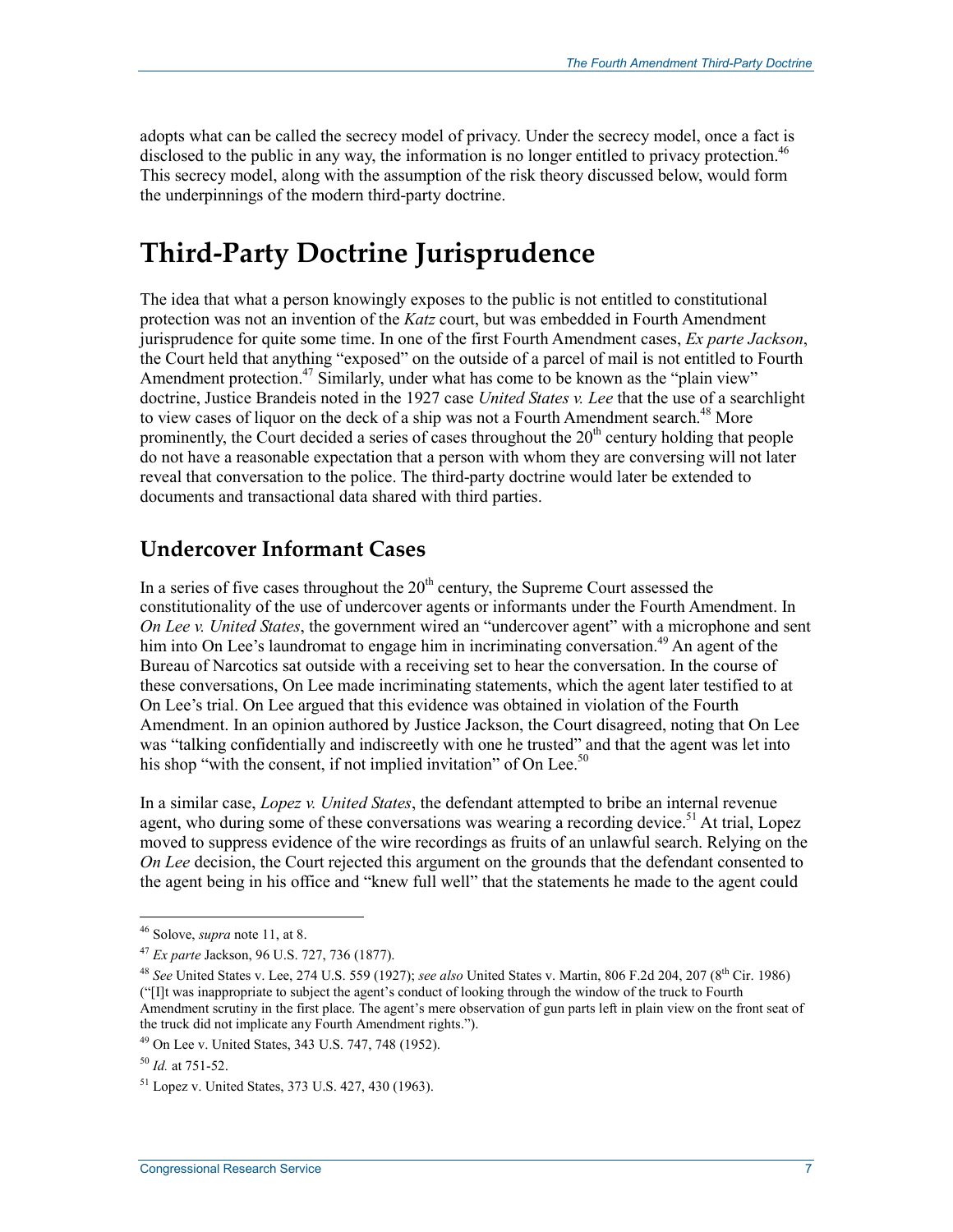adopts what can be called the secrecy model of privacy. Under the secrecy model, once a fact is disclosed to the public in any way, the information is no longer entitled to privacy protection.<sup>46</sup> This secrecy model, along with the assumption of the risk theory discussed below, would form the underpinnings of the modern third-party doctrine.

### **Third-Party Doctrine Jurisprudence**

The idea that what a person knowingly exposes to the public is not entitled to constitutional protection was not an invention of the *Katz* court, but was embedded in Fourth Amendment jurisprudence for quite some time. In one of the first Fourth Amendment cases, *Ex parte Jackson*, the Court held that anything "exposed" on the outside of a parcel of mail is not entitled to Fourth Amendment protection.<sup>47</sup> Similarly, under what has come to be known as the "plain view" doctrine, Justice Brandeis noted in the 1927 case *United States v. Lee* that the use of a searchlight to view cases of liquor on the deck of a ship was not a Fourth Amendment search.<sup>48</sup> More prominently, the Court decided a series of cases throughout the  $20<sup>th</sup>$  century holding that people do not have a reasonable expectation that a person with whom they are conversing will not later reveal that conversation to the police. The third-party doctrine would later be extended to documents and transactional data shared with third parties.

#### **Undercover Informant Cases**

In a series of five cases throughout the  $20<sup>th</sup>$  century, the Supreme Court assessed the constitutionality of the use of undercover agents or informants under the Fourth Amendment. In *On Lee v. United States*, the government wired an "undercover agent" with a microphone and sent him into On Lee's laundromat to engage him in incriminating conversation.<sup>49</sup> An agent of the Bureau of Narcotics sat outside with a receiving set to hear the conversation. In the course of these conversations, On Lee made incriminating statements, which the agent later testified to at On Lee's trial. On Lee argued that this evidence was obtained in violation of the Fourth Amendment. In an opinion authored by Justice Jackson, the Court disagreed, noting that On Lee was "talking confidentially and indiscreetly with one he trusted" and that the agent was let into his shop "with the consent, if not implied invitation" of On Lee.<sup>50</sup>

In a similar case, *Lopez v. United States*, the defendant attempted to bribe an internal revenue agent, who during some of these conversations was wearing a recording device.<sup>51</sup> At trial, Lopez moved to suppress evidence of the wire recordings as fruits of an unlawful search. Relying on the *On Lee* decision, the Court rejected this argument on the grounds that the defendant consented to the agent being in his office and "knew full well" that the statements he made to the agent could

<sup>46</sup> Solove, *supra* note 11, at 8.

<sup>47</sup> *Ex parte* Jackson, 96 U.S. 727, 736 (1877).

<sup>48</sup> *See* United States v. Lee, 274 U.S. 559 (1927); *see also* United States v. Martin, 806 F.2d 204, 207 (8th Cir. 1986) ("[I]t was inappropriate to subject the agent's conduct of looking through the window of the truck to Fourth Amendment scrutiny in the first place. The agent's mere observation of gun parts left in plain view on the front seat of the truck did not implicate any Fourth Amendment rights.").

<sup>49</sup> On Lee v. United States, 343 U.S. 747, 748 (1952).

<sup>50</sup> *Id.* at 751-52.

<sup>51</sup> Lopez v. United States, 373 U.S. 427, 430 (1963).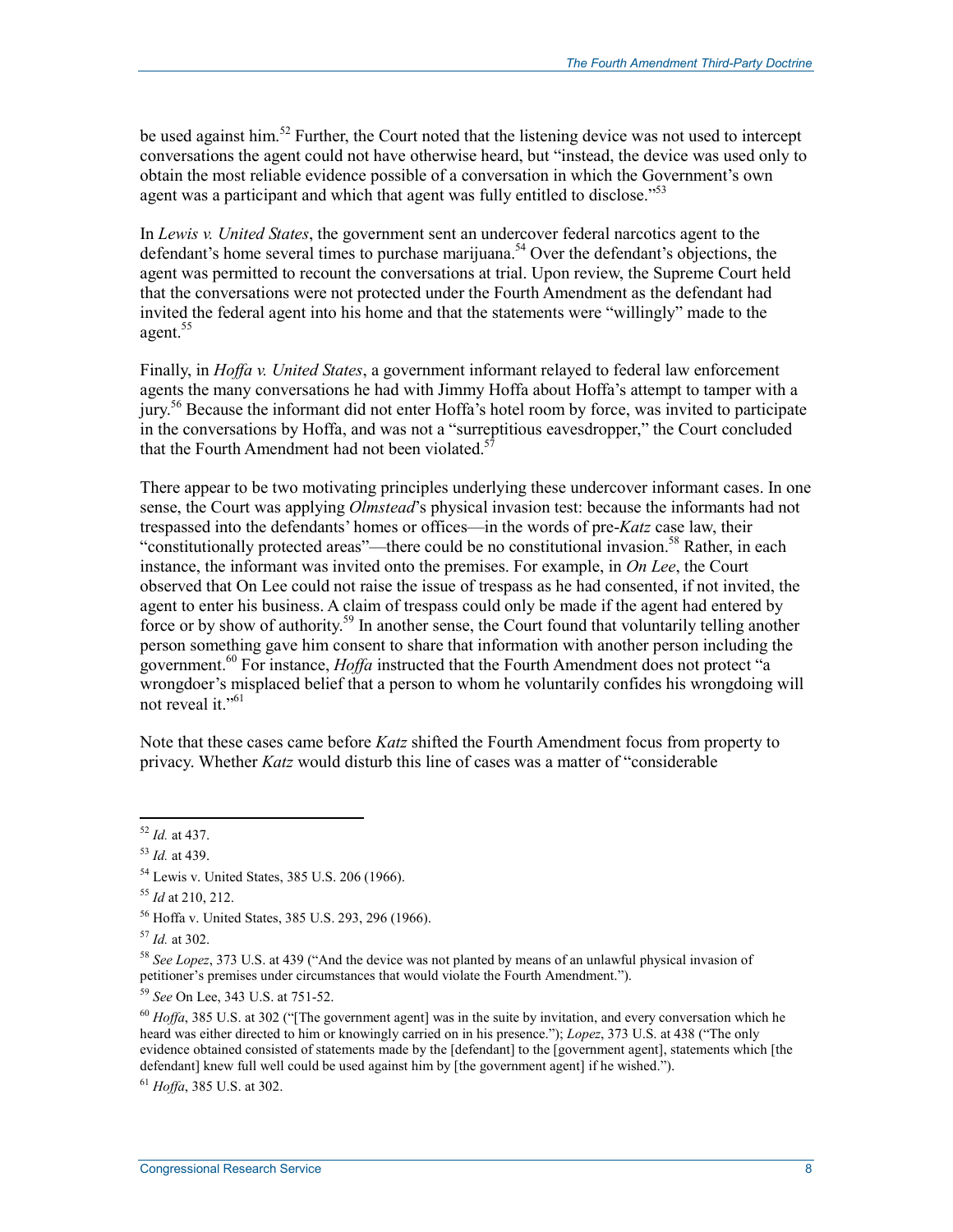be used against him.<sup>52</sup> Further, the Court noted that the listening device was not used to intercept conversations the agent could not have otherwise heard, but "instead, the device was used only to obtain the most reliable evidence possible of a conversation in which the Government's own agent was a participant and which that agent was fully entitled to disclose.<sup>553</sup>

In *Lewis v. United States*, the government sent an undercover federal narcotics agent to the defendant's home several times to purchase marijuana.<sup>54</sup> Over the defendant's objections, the agent was permitted to recount the conversations at trial. Upon review, the Supreme Court held that the conversations were not protected under the Fourth Amendment as the defendant had invited the federal agent into his home and that the statements were "willingly" made to the agent.<sup>55</sup>

Finally, in *Hoffa v. United States*, a government informant relayed to federal law enforcement agents the many conversations he had with Jimmy Hoffa about Hoffa's attempt to tamper with a jury.56 Because the informant did not enter Hoffa's hotel room by force, was invited to participate in the conversations by Hoffa, and was not a "surreptitious eavesdropper," the Court concluded that the Fourth Amendment had not been violated.<sup>5</sup>

There appear to be two motivating principles underlying these undercover informant cases. In one sense, the Court was applying *Olmstead*'s physical invasion test: because the informants had not trespassed into the defendants' homes or offices—in the words of pre-*Katz* case law, their "constitutionally protected areas"—there could be no constitutional invasion.<sup>58</sup> Rather, in each instance, the informant was invited onto the premises. For example, in *On Lee*, the Court observed that On Lee could not raise the issue of trespass as he had consented, if not invited, the agent to enter his business. A claim of trespass could only be made if the agent had entered by force or by show of authority.<sup>59</sup> In another sense, the Court found that voluntarily telling another person something gave him consent to share that information with another person including the government.<sup>60</sup> For instance, *Hoffa* instructed that the Fourth Amendment does not protect "a wrongdoer's misplaced belief that a person to whom he voluntarily confides his wrongdoing will not reveal it."<sup>61</sup>

Note that these cases came before *Katz* shifted the Fourth Amendment focus from property to privacy. Whether *Katz* would disturb this line of cases was a matter of "considerable

<u>.</u>

<sup>61</sup> *Hoffa*, 385 U.S. at 302.

<sup>52</sup> *Id.* at 437.

<sup>53</sup> *Id.* at 439.

<sup>54</sup> Lewis v. United States, 385 U.S. 206 (1966).

<sup>55</sup> *Id* at 210, 212.

<sup>56</sup> Hoffa v. United States, 385 U.S. 293, 296 (1966).

<sup>57</sup> *Id.* at 302.

<sup>58</sup> *See Lopez*, 373 U.S. at 439 ("And the device was not planted by means of an unlawful physical invasion of petitioner's premises under circumstances that would violate the Fourth Amendment.").

<sup>59</sup> *See* On Lee, 343 U.S. at 751-52.

<sup>&</sup>lt;sup>60</sup> *Hoffa*, 385 U.S. at 302 ("The government agent] was in the suite by invitation, and every conversation which he heard was either directed to him or knowingly carried on in his presence."); *Lopez*, 373 U.S. at 438 ("The only evidence obtained consisted of statements made by the [defendant] to the [government agent], statements which [the defendant] knew full well could be used against him by [the government agent] if he wished.").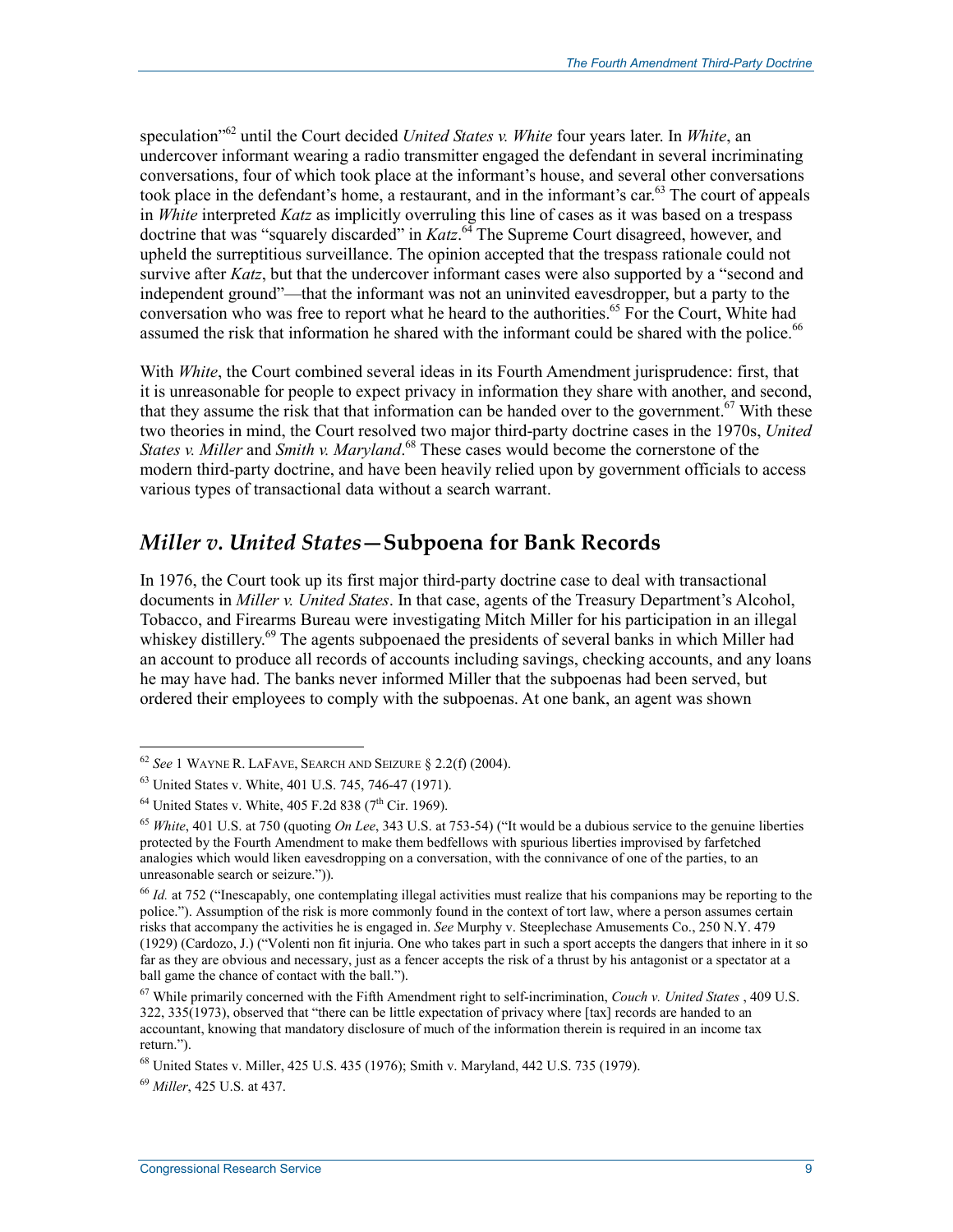speculation"62 until the Court decided *United States v. White* four years later. In *White*, an undercover informant wearing a radio transmitter engaged the defendant in several incriminating conversations, four of which took place at the informant's house, and several other conversations took place in the defendant's home, a restaurant, and in the informant's car.<sup>63</sup> The court of appeals in *White* interpreted *Katz* as implicitly overruling this line of cases as it was based on a trespass doctrine that was "squarely discarded" in *Katz*. 64 The Supreme Court disagreed, however, and upheld the surreptitious surveillance. The opinion accepted that the trespass rationale could not survive after *Katz*, but that the undercover informant cases were also supported by a "second and independent ground"—that the informant was not an uninvited eavesdropper, but a party to the conversation who was free to report what he heard to the authorities.<sup>65</sup> For the Court, White had assumed the risk that information he shared with the informant could be shared with the police.<sup>66</sup>

With *White*, the Court combined several ideas in its Fourth Amendment jurisprudence: first, that it is unreasonable for people to expect privacy in information they share with another, and second, that they assume the risk that that information can be handed over to the government.<sup>67</sup> With these two theories in mind, the Court resolved two major third-party doctrine cases in the 1970s, *United States v. Miller* and *Smith v. Maryland*. 68 These cases would become the cornerstone of the modern third-party doctrine, and have been heavily relied upon by government officials to access various types of transactional data without a search warrant.

#### *Miller v. United States***—Subpoena for Bank Records**

In 1976, the Court took up its first major third-party doctrine case to deal with transactional documents in *Miller v. United States*. In that case, agents of the Treasury Department's Alcohol, Tobacco, and Firearms Bureau were investigating Mitch Miller for his participation in an illegal whiskey distillery.<sup>69</sup> The agents subpoenaed the presidents of several banks in which Miller had an account to produce all records of accounts including savings, checking accounts, and any loans he may have had. The banks never informed Miller that the subpoenas had been served, but ordered their employees to comply with the subpoenas. At one bank, an agent was shown

<sup>62</sup> *See* 1 WAYNE R. LAFAVE, SEARCH AND SEIZURE § 2.2(f) (2004).

<sup>63</sup> United States v. White, 401 U.S. 745, 746-47 (1971).

 $64$  United States v. White, 405 F.2d 838 (7<sup>th</sup> Cir. 1969).

<sup>65</sup> *White*, 401 U.S. at 750 (quoting *On Lee*, 343 U.S. at 753-54) ("It would be a dubious service to the genuine liberties protected by the Fourth Amendment to make them bedfellows with spurious liberties improvised by farfetched analogies which would liken eavesdropping on a conversation, with the connivance of one of the parties, to an unreasonable search or seizure.")).

<sup>66</sup> *Id.* at 752 ("Inescapably, one contemplating illegal activities must realize that his companions may be reporting to the police."). Assumption of the risk is more commonly found in the context of tort law, where a person assumes certain risks that accompany the activities he is engaged in. *See* Murphy v. Steeplechase Amusements Co., 250 N.Y. 479 (1929) (Cardozo, J.) ("Volenti non fit injuria. One who takes part in such a sport accepts the dangers that inhere in it so far as they are obvious and necessary, just as a fencer accepts the risk of a thrust by his antagonist or a spectator at a ball game the chance of contact with the ball.").

<sup>67</sup> While primarily concerned with the Fifth Amendment right to self-incrimination, *Couch v. United States* , 409 U.S. 322, 335(1973), observed that "there can be little expectation of privacy where [tax] records are handed to an accountant, knowing that mandatory disclosure of much of the information therein is required in an income tax return.").

<sup>68</sup> United States v. Miller, 425 U.S. 435 (1976); Smith v. Maryland, 442 U.S. 735 (1979).

<sup>69</sup> *Miller*, 425 U.S. at 437.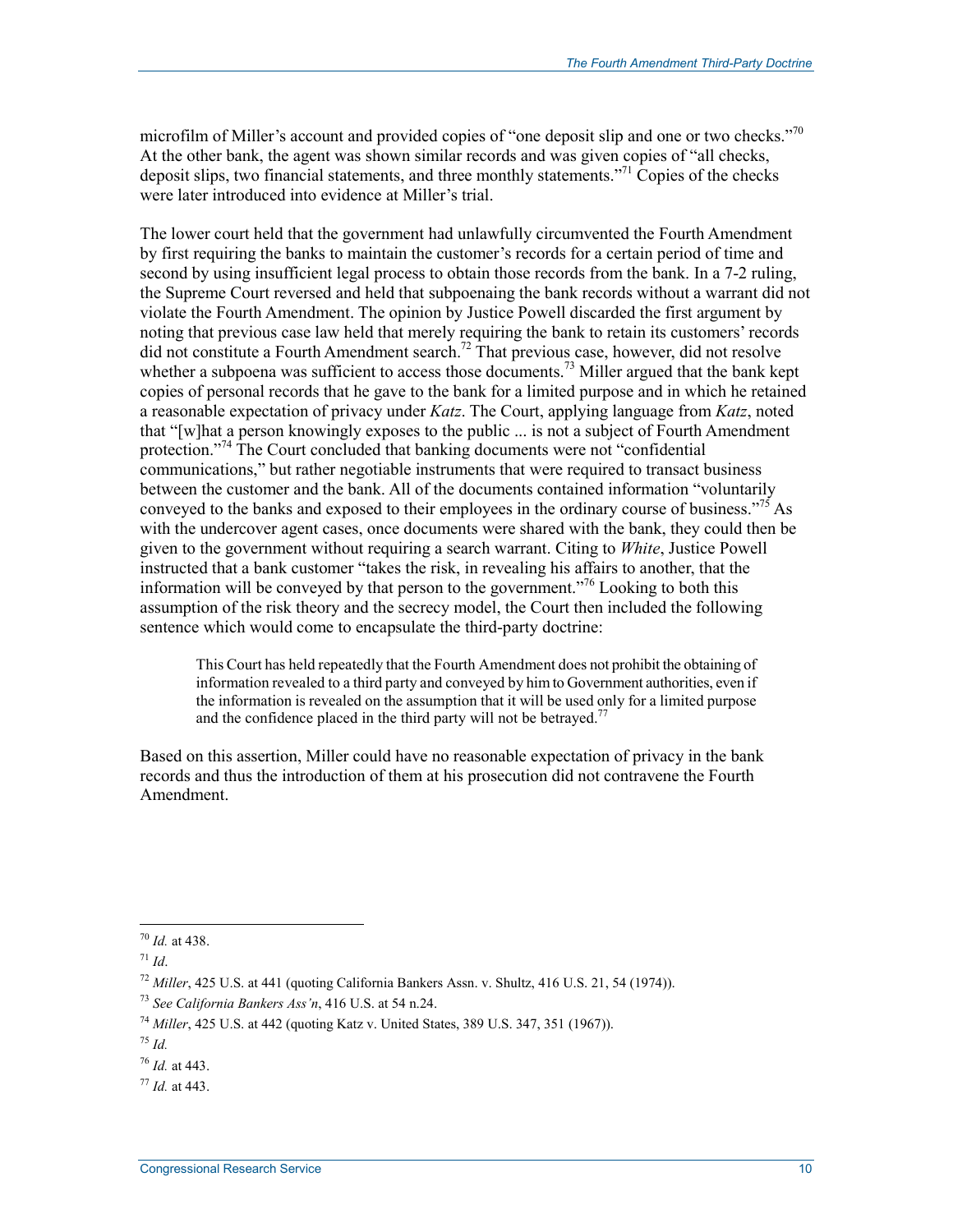microfilm of Miller's account and provided copies of "one deposit slip and one or two checks."<sup>70</sup> At the other bank, the agent was shown similar records and was given copies of "all checks, deposit slips, two financial statements, and three monthly statements.<sup>"71</sup> Copies of the checks were later introduced into evidence at Miller's trial.

The lower court held that the government had unlawfully circumvented the Fourth Amendment by first requiring the banks to maintain the customer's records for a certain period of time and second by using insufficient legal process to obtain those records from the bank. In a 7-2 ruling, the Supreme Court reversed and held that subpoenaing the bank records without a warrant did not violate the Fourth Amendment. The opinion by Justice Powell discarded the first argument by noting that previous case law held that merely requiring the bank to retain its customers' records did not constitute a Fourth Amendment search.<sup>72</sup> That previous case, however, did not resolve whether a subpoena was sufficient to access those documents.<sup>73</sup> Miller argued that the bank kept copies of personal records that he gave to the bank for a limited purpose and in which he retained a reasonable expectation of privacy under *Katz*. The Court, applying language from *Katz*, noted that "[w]hat a person knowingly exposes to the public ... is not a subject of Fourth Amendment protection."<sup>74</sup> The Court concluded that banking documents were not "confidential" communications," but rather negotiable instruments that were required to transact business between the customer and the bank. All of the documents contained information "voluntarily conveyed to the banks and exposed to their employees in the ordinary course of business.<sup> $.75$ </sup> As with the undercover agent cases, once documents were shared with the bank, they could then be given to the government without requiring a search warrant. Citing to *White*, Justice Powell instructed that a bank customer "takes the risk, in revealing his affairs to another, that the information will be conveyed by that person to the government.<sup> $376$ </sup> Looking to both this assumption of the risk theory and the secrecy model, the Court then included the following sentence which would come to encapsulate the third-party doctrine:

This Court has held repeatedly that the Fourth Amendment does not prohibit the obtaining of information revealed to a third party and conveyed by him to Government authorities, even if the information is revealed on the assumption that it will be used only for a limited purpose and the confidence placed in the third party will not be betrayed.<sup>77</sup>

Based on this assertion, Miller could have no reasonable expectation of privacy in the bank records and thus the introduction of them at his prosecution did not contravene the Fourth Amendment.

<sup>1</sup> <sup>70</sup> *Id.* at 438.

<sup>71</sup> *Id*.

<sup>72</sup> *Miller*, 425 U.S. at 441 (quoting California Bankers Assn. v. Shultz, 416 U.S. 21, 54 (1974)).

<sup>73</sup> *See California Bankers Ass'n*, 416 U.S. at 54 n.24.

<sup>74</sup> *Miller*, 425 U.S. at 442 (quoting Katz v. United States, 389 U.S. 347, 351 (1967)).

<sup>75</sup> *Id.* 

<sup>76</sup> *Id.* at 443.

<sup>77</sup> *Id.* at 443.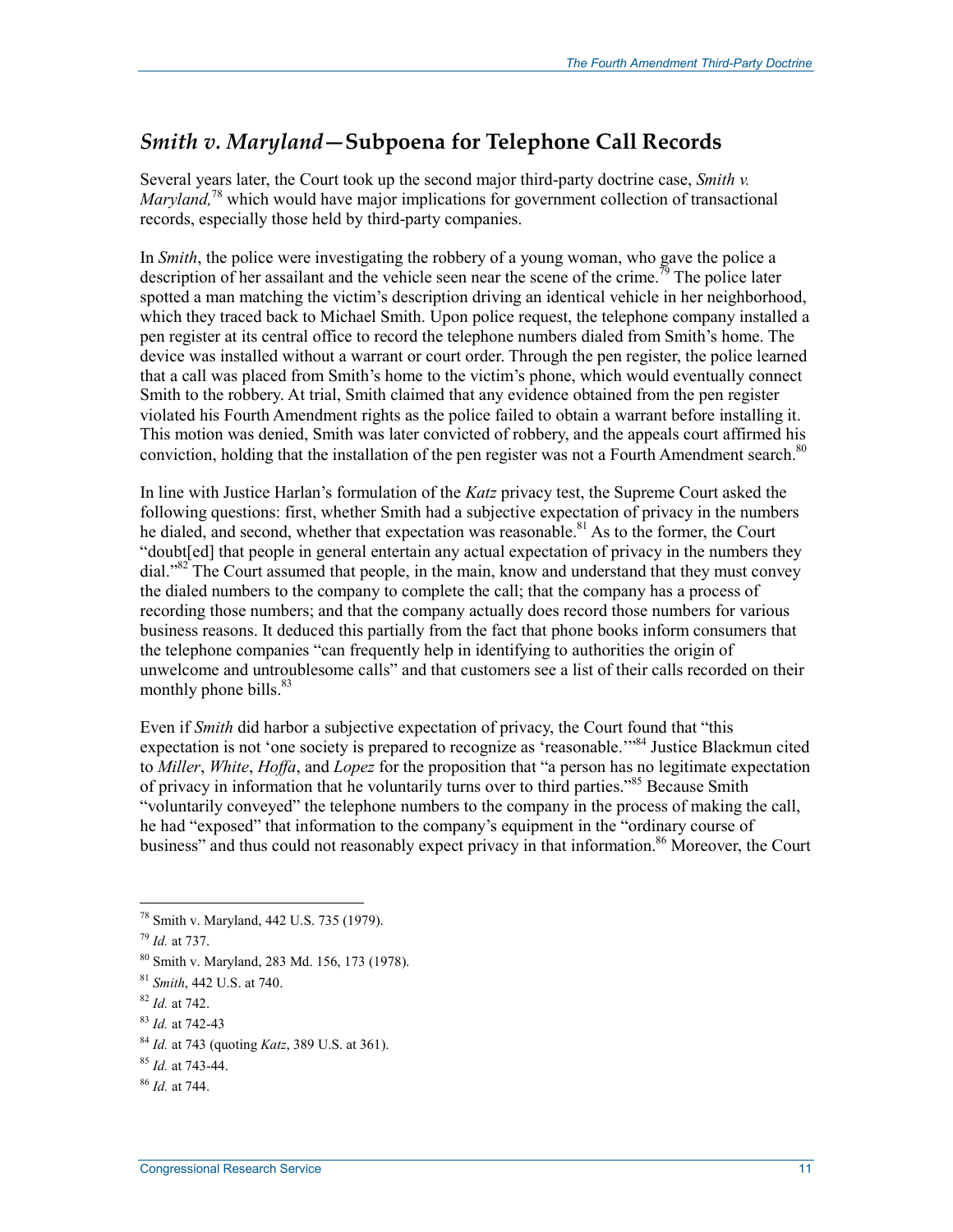#### *Smith v. Maryland***—Subpoena for Telephone Call Records**

Several years later, the Court took up the second major third-party doctrine case, *Smith v. Maryland,*<sup>78</sup> which would have major implications for government collection of transactional records, especially those held by third-party companies.

In *Smith*, the police were investigating the robbery of a young woman, who gave the police a description of her assailant and the vehicle seen near the scene of the crime.<sup>79</sup> The police later spotted a man matching the victim's description driving an identical vehicle in her neighborhood, which they traced back to Michael Smith. Upon police request, the telephone company installed a pen register at its central office to record the telephone numbers dialed from Smith's home. The device was installed without a warrant or court order. Through the pen register, the police learned that a call was placed from Smith's home to the victim's phone, which would eventually connect Smith to the robbery. At trial, Smith claimed that any evidence obtained from the pen register violated his Fourth Amendment rights as the police failed to obtain a warrant before installing it. This motion was denied, Smith was later convicted of robbery, and the appeals court affirmed his conviction, holding that the installation of the pen register was not a Fourth Amendment search.<sup>80</sup>

In line with Justice Harlan's formulation of the *Katz* privacy test, the Supreme Court asked the following questions: first, whether Smith had a subjective expectation of privacy in the numbers he dialed, and second, whether that expectation was reasonable.<sup>81</sup> As to the former, the Court "doubt[ed] that people in general entertain any actual expectation of privacy in the numbers they dial."82 The Court assumed that people, in the main, know and understand that they must convey the dialed numbers to the company to complete the call; that the company has a process of recording those numbers; and that the company actually does record those numbers for various business reasons. It deduced this partially from the fact that phone books inform consumers that the telephone companies "can frequently help in identifying to authorities the origin of unwelcome and untroublesome calls" and that customers see a list of their calls recorded on their monthly phone bills.<sup>83</sup>

Even if *Smith* did harbor a subjective expectation of privacy, the Court found that "this expectation is not 'one society is prepared to recognize as 'reasonable."<sup>84</sup> Justice Blackmun cited to *Miller*, *White*, *Hoffa*, and *Lopez* for the proposition that "a person has no legitimate expectation of privacy in information that he voluntarily turns over to third parties."<sup>85</sup> Because Smith "voluntarily conveyed" the telephone numbers to the company in the process of making the call, he had "exposed" that information to the company's equipment in the "ordinary course of business" and thus could not reasonably expect privacy in that information.<sup>86</sup> Moreover, the Court

- <sup>82</sup> *Id.* at 742.
- <sup>83</sup> *Id.* at 742-43

<sup>78</sup> Smith v. Maryland, 442 U.S. 735 (1979).

<sup>79</sup> *Id.* at 737.

<sup>80</sup> Smith v. Maryland, 283 Md. 156, 173 (1978).

<sup>81</sup> *Smith*, 442 U.S. at 740.

<sup>84</sup> *Id.* at 743 (quoting *Katz*, 389 U.S. at 361).

<sup>85</sup> *Id.* at 743-44.

<sup>86</sup> *Id.* at 744.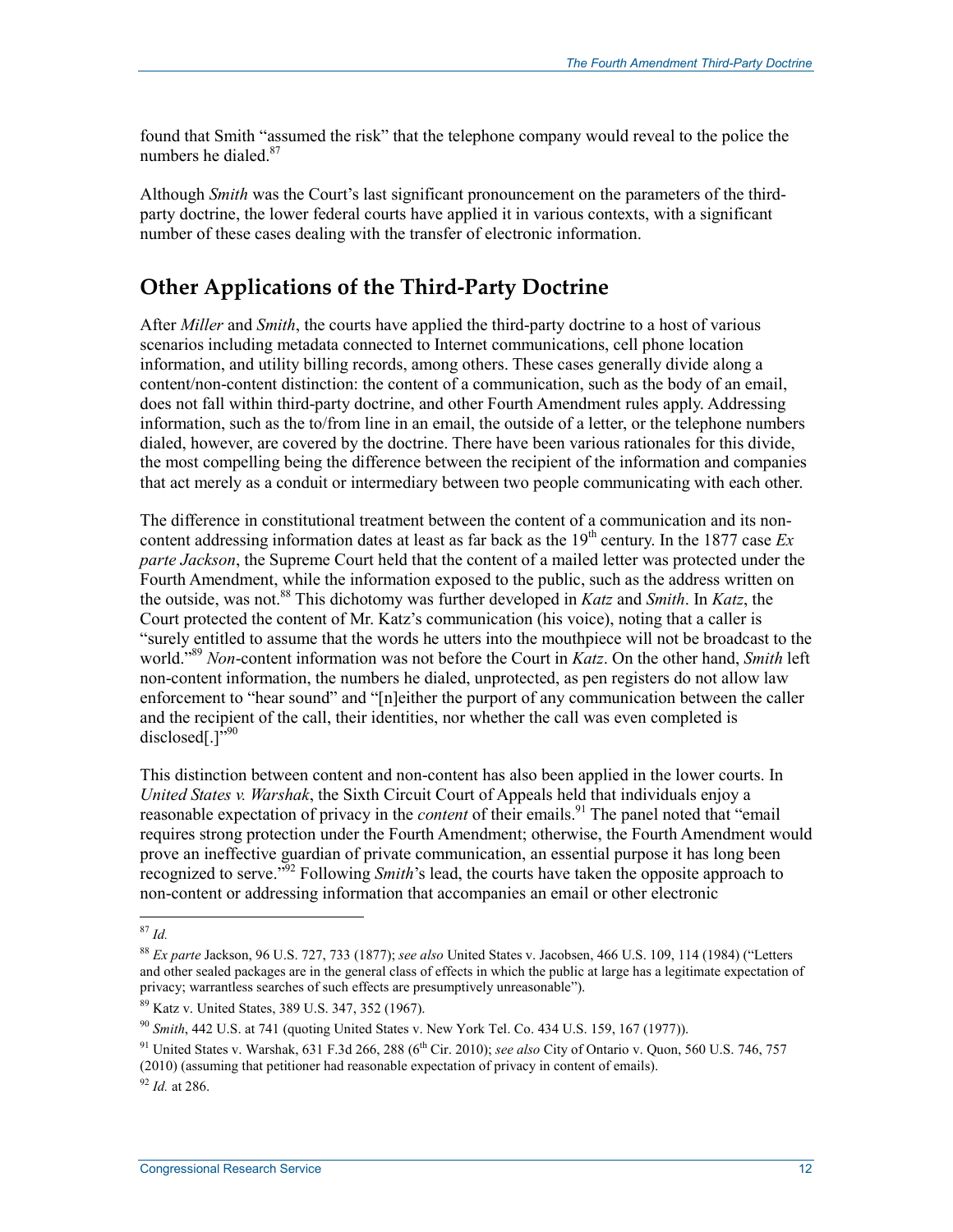found that Smith "assumed the risk" that the telephone company would reveal to the police the numbers he dialed.<sup>87</sup>

Although *Smith* was the Court's last significant pronouncement on the parameters of the thirdparty doctrine, the lower federal courts have applied it in various contexts, with a significant number of these cases dealing with the transfer of electronic information.

#### **Other Applications of the Third-Party Doctrine**

After *Miller* and *Smith*, the courts have applied the third-party doctrine to a host of various scenarios including metadata connected to Internet communications, cell phone location information, and utility billing records, among others. These cases generally divide along a content/non-content distinction: the content of a communication, such as the body of an email, does not fall within third-party doctrine, and other Fourth Amendment rules apply. Addressing information, such as the to/from line in an email, the outside of a letter, or the telephone numbers dialed, however, are covered by the doctrine. There have been various rationales for this divide, the most compelling being the difference between the recipient of the information and companies that act merely as a conduit or intermediary between two people communicating with each other.

The difference in constitutional treatment between the content of a communication and its noncontent addressing information dates at least as far back as the  $19<sup>th</sup>$  century. In the 1877 case  $Ex$ *parte Jackson*, the Supreme Court held that the content of a mailed letter was protected under the Fourth Amendment, while the information exposed to the public, such as the address written on the outside, was not.88 This dichotomy was further developed in *Katz* and *Smith*. In *Katz*, the Court protected the content of Mr. Katz's communication (his voice), noting that a caller is "surely entitled to assume that the words he utters into the mouthpiece will not be broadcast to the world."89 *Non*-content information was not before the Court in *Katz*. On the other hand, *Smith* left non-content information, the numbers he dialed, unprotected, as pen registers do not allow law enforcement to "hear sound" and "[n]either the purport of any communication between the caller and the recipient of the call, their identities, nor whether the call was even completed is disclosed[.] $"^{90}$ 

This distinction between content and non-content has also been applied in the lower courts. In *United States v. Warshak*, the Sixth Circuit Court of Appeals held that individuals enjoy a reasonable expectation of privacy in the *content* of their emails.<sup>91</sup> The panel noted that "email" requires strong protection under the Fourth Amendment; otherwise, the Fourth Amendment would prove an ineffective guardian of private communication, an essential purpose it has long been recognized to serve."92 Following *Smith*'s lead, the courts have taken the opposite approach to non-content or addressing information that accompanies an email or other electronic

<sup>87</sup> *Id.* 

<sup>88</sup> *Ex parte* Jackson, 96 U.S. 727, 733 (1877); *see also* United States v. Jacobsen, 466 U.S. 109, 114 (1984) ("Letters and other sealed packages are in the general class of effects in which the public at large has a legitimate expectation of privacy; warrantless searches of such effects are presumptively unreasonable").

<sup>89</sup> Katz v. United States, 389 U.S. 347, 352 (1967).

<sup>90</sup> *Smith*, 442 U.S. at 741 (quoting United States v. New York Tel. Co. 434 U.S. 159, 167 (1977)).

<sup>&</sup>lt;sup>91</sup> United States v. Warshak, 631 F.3d 266, 288 (6<sup>th</sup> Cir. 2010); *see also* City of Ontario v. Quon, 560 U.S. 746, 757 (2010) (assuming that petitioner had reasonable expectation of privacy in content of emails).

<sup>92</sup> *Id.* at 286.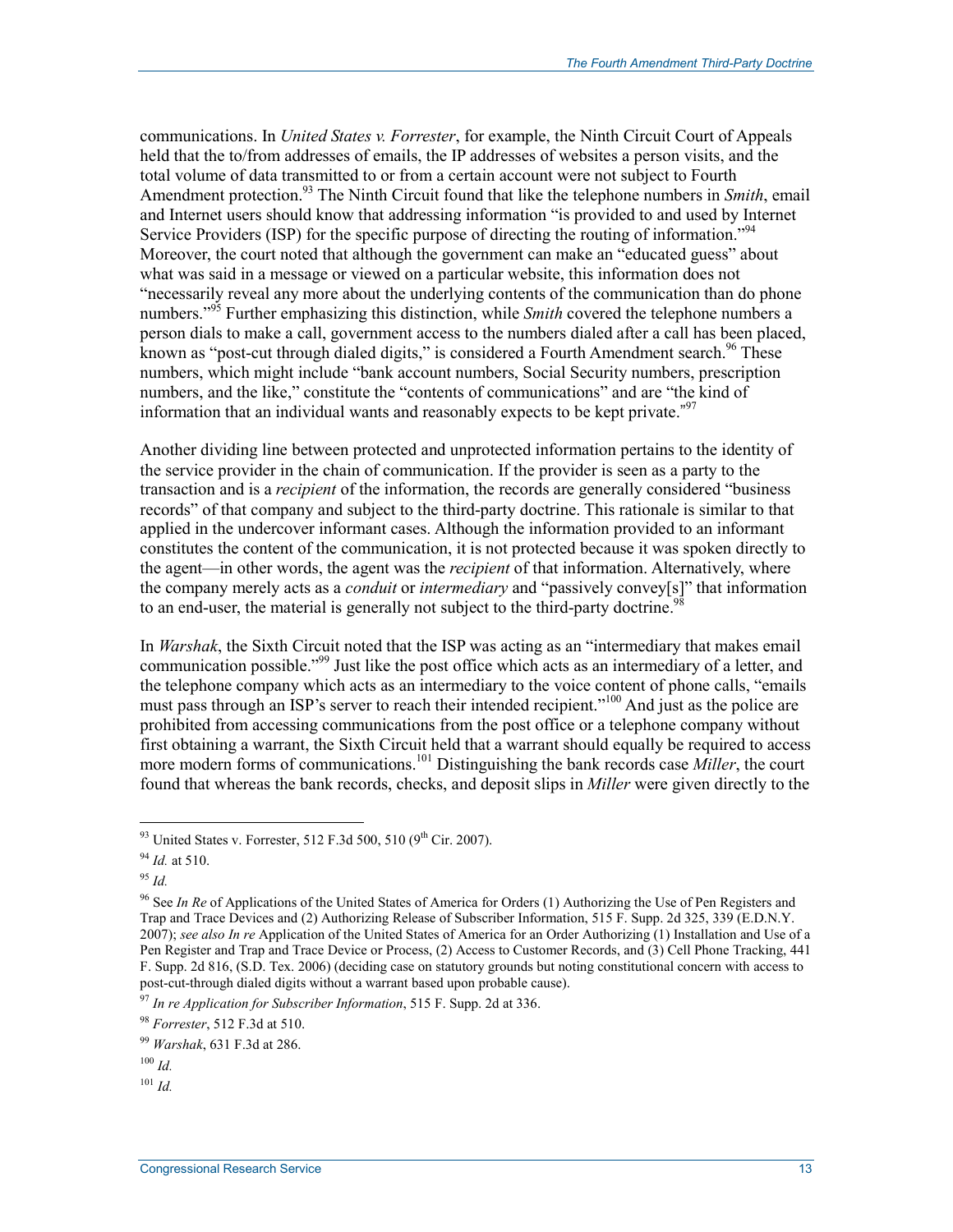communications. In *United States v. Forrester*, for example, the Ninth Circuit Court of Appeals held that the to/from addresses of emails, the IP addresses of websites a person visits, and the total volume of data transmitted to or from a certain account were not subject to Fourth Amendment protection.<sup>93</sup> The Ninth Circuit found that like the telephone numbers in *Smith*, email and Internet users should know that addressing information "is provided to and used by Internet Service Providers (ISP) for the specific purpose of directing the routing of information.<sup>"94</sup> Moreover, the court noted that although the government can make an "educated guess" about what was said in a message or viewed on a particular website, this information does not "necessarily reveal any more about the underlying contents of the communication than do phone numbers."<sup>95</sup> Further emphasizing this distinction, while *Smith* covered the telephone numbers a person dials to make a call, government access to the numbers dialed after a call has been placed, known as "post-cut through dialed digits," is considered a Fourth Amendment search.<sup>96</sup> These numbers, which might include "bank account numbers, Social Security numbers, prescription numbers, and the like," constitute the "contents of communications" and are "the kind of information that an individual wants and reasonably expects to be kept private." $97$ 

Another dividing line between protected and unprotected information pertains to the identity of the service provider in the chain of communication. If the provider is seen as a party to the transaction and is a *recipient* of the information, the records are generally considered "business records" of that company and subject to the third-party doctrine. This rationale is similar to that applied in the undercover informant cases. Although the information provided to an informant constitutes the content of the communication, it is not protected because it was spoken directly to the agent—in other words, the agent was the *recipient* of that information. Alternatively, where the company merely acts as a *conduit* or *intermediary* and "passively convey[s]" that information to an end-user, the material is generally not subject to the third-party doctrine.<sup>9</sup>

In *Warshak*, the Sixth Circuit noted that the ISP was acting as an "intermediary that makes email communication possible."<sup>99</sup> Just like the post office which acts as an intermediary of a letter, and the telephone company which acts as an intermediary to the voice content of phone calls, "emails must pass through an ISP's server to reach their intended recipient."<sup>100</sup> And just as the police are prohibited from accessing communications from the post office or a telephone company without first obtaining a warrant, the Sixth Circuit held that a warrant should equally be required to access more modern forms of communications.<sup>101</sup> Distinguishing the bank records case *Miller*, the court found that whereas the bank records, checks, and deposit slips in *Miller* were given directly to the

<sup>95</sup> *Id.*

<sup>&</sup>lt;sup>93</sup> United States v. Forrester, 512 F.3d 500, 510 (9<sup>th</sup> Cir. 2007).

<sup>94</sup> *Id.* at 510.

<sup>96</sup> See *In Re* of Applications of the United States of America for Orders (1) Authorizing the Use of Pen Registers and Trap and Trace Devices and (2) Authorizing Release of Subscriber Information, 515 F. Supp. 2d 325, 339 (E.D.N.Y. 2007); *see also In re* Application of the United States of America for an Order Authorizing (1) Installation and Use of a Pen Register and Trap and Trace Device or Process, (2) Access to Customer Records, and (3) Cell Phone Tracking, 441 F. Supp. 2d 816, (S.D. Tex. 2006) (deciding case on statutory grounds but noting constitutional concern with access to post-cut-through dialed digits without a warrant based upon probable cause).

<sup>97</sup> *In re Application for Subscriber Information*, 515 F. Supp. 2d at 336.

<sup>98</sup> *Forrester*, 512 F.3d at 510.

<sup>99</sup> *Warshak*, 631 F.3d at 286.

 $100$  *Id.* 

 $101$  *Id.*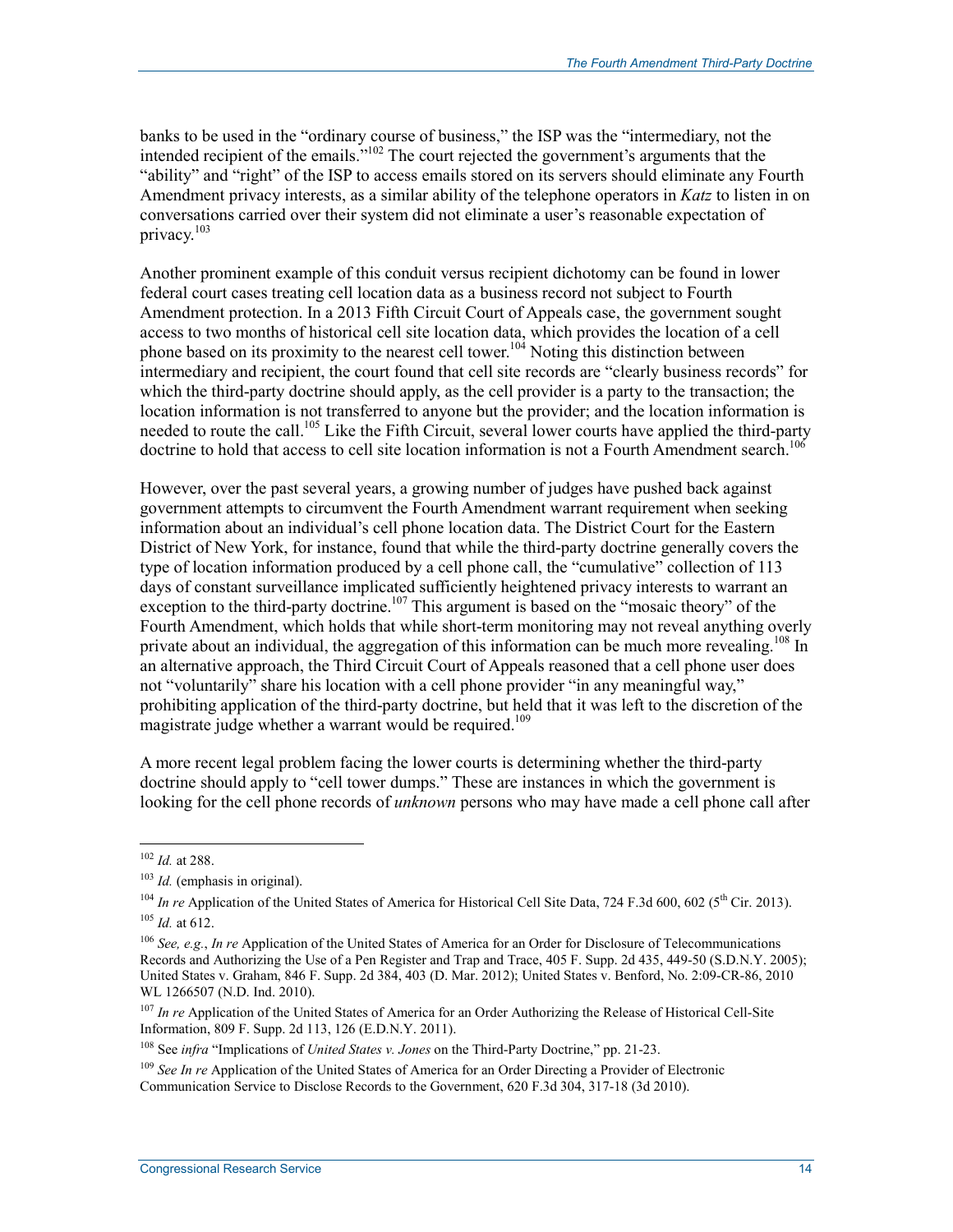banks to be used in the "ordinary course of business," the ISP was the "intermediary, not the intended recipient of the emails."102 The court rejected the government's arguments that the "ability" and "right" of the ISP to access emails stored on its servers should eliminate any Fourth Amendment privacy interests, as a similar ability of the telephone operators in *Katz* to listen in on conversations carried over their system did not eliminate a user's reasonable expectation of privacy.<sup>103</sup>

Another prominent example of this conduit versus recipient dichotomy can be found in lower federal court cases treating cell location data as a business record not subject to Fourth Amendment protection. In a 2013 Fifth Circuit Court of Appeals case, the government sought access to two months of historical cell site location data, which provides the location of a cell phone based on its proximity to the nearest cell tower.<sup>104</sup> Noting this distinction between intermediary and recipient, the court found that cell site records are "clearly business records" for which the third-party doctrine should apply, as the cell provider is a party to the transaction; the location information is not transferred to anyone but the provider; and the location information is needed to route the call.<sup>105</sup> Like the Fifth Circuit, several lower courts have applied the third-party doctrine to hold that access to cell site location information is not a Fourth Amendment search.<sup>106</sup>

However, over the past several years, a growing number of judges have pushed back against government attempts to circumvent the Fourth Amendment warrant requirement when seeking information about an individual's cell phone location data. The District Court for the Eastern District of New York, for instance, found that while the third-party doctrine generally covers the type of location information produced by a cell phone call, the "cumulative" collection of 113 days of constant surveillance implicated sufficiently heightened privacy interests to warrant an exception to the third-party doctrine.<sup>107</sup> This argument is based on the "mosaic theory" of the Fourth Amendment, which holds that while short-term monitoring may not reveal anything overly private about an individual, the aggregation of this information can be much more revealing.<sup>108</sup> In an alternative approach, the Third Circuit Court of Appeals reasoned that a cell phone user does not "voluntarily" share his location with a cell phone provider "in any meaningful way," prohibiting application of the third-party doctrine, but held that it was left to the discretion of the magistrate judge whether a warrant would be required.<sup>109</sup>

A more recent legal problem facing the lower courts is determining whether the third-party doctrine should apply to "cell tower dumps." These are instances in which the government is looking for the cell phone records of *unknown* persons who may have made a cell phone call after

<sup>102</sup> *Id.* at 288.

<sup>&</sup>lt;sup>103</sup> *Id.* (emphasis in original).

<sup>&</sup>lt;sup>104</sup> *In re* Application of the United States of America for Historical Cell Site Data, 724 F.3d 600, 602 (5<sup>th</sup> Cir. 2013). <sup>105</sup> *Id.* at 612.

<sup>106</sup> *See, e.g.*, *In re* Application of the United States of America for an Order for Disclosure of Telecommunications Records and Authorizing the Use of a Pen Register and Trap and Trace, 405 F. Supp. 2d 435, 449-50 (S.D.N.Y. 2005); United States v. Graham, 846 F. Supp. 2d 384, 403 (D. Mar. 2012); United States v. Benford, No. 2:09-CR-86, 2010 WL 1266507 (N.D. Ind. 2010).

<sup>&</sup>lt;sup>107</sup> *In re* Application of the United States of America for an Order Authorizing the Release of Historical Cell-Site Information, 809 F. Supp. 2d 113, 126 (E.D.N.Y. 2011).

<sup>108</sup> See *infra* "Implications of *United States v. Jones* on the Third-Party Doctrine," pp. 21-23.

<sup>109</sup> *See In re* Application of the United States of America for an Order Directing a Provider of Electronic Communication Service to Disclose Records to the Government, 620 F.3d 304, 317-18 (3d 2010).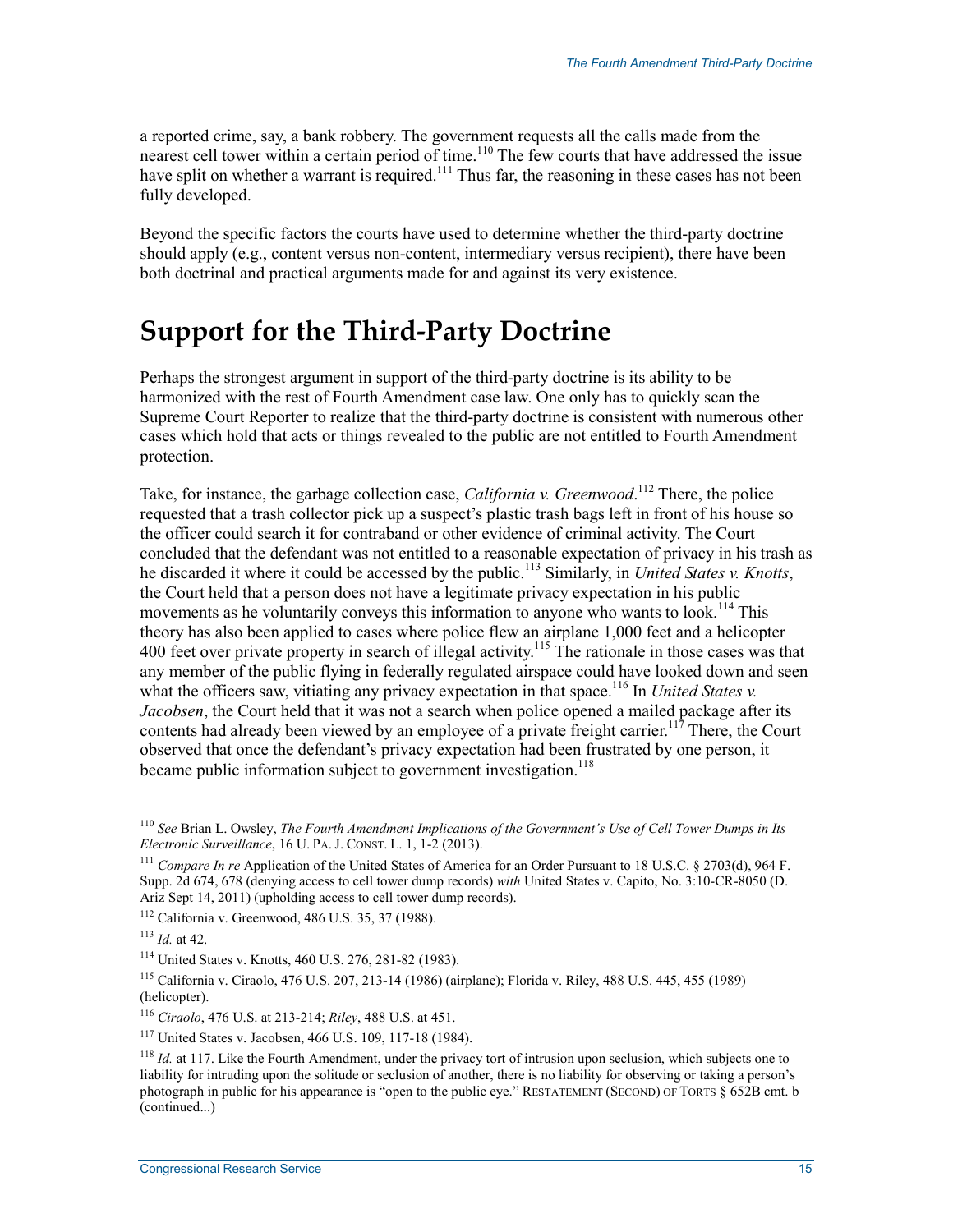a reported crime, say, a bank robbery. The government requests all the calls made from the nearest cell tower within a certain period of time.<sup>110</sup> The few courts that have addressed the issue have split on whether a warrant is required.<sup>111</sup> Thus far, the reasoning in these cases has not been fully developed.

Beyond the specific factors the courts have used to determine whether the third-party doctrine should apply (e.g., content versus non-content, intermediary versus recipient), there have been both doctrinal and practical arguments made for and against its very existence.

### **Support for the Third-Party Doctrine**

Perhaps the strongest argument in support of the third-party doctrine is its ability to be harmonized with the rest of Fourth Amendment case law. One only has to quickly scan the Supreme Court Reporter to realize that the third-party doctrine is consistent with numerous other cases which hold that acts or things revealed to the public are not entitled to Fourth Amendment protection.

Take, for instance, the garbage collection case, *California v. Greenwood*.<sup>112</sup> There, the police requested that a trash collector pick up a suspect's plastic trash bags left in front of his house so the officer could search it for contraband or other evidence of criminal activity. The Court concluded that the defendant was not entitled to a reasonable expectation of privacy in his trash as he discarded it where it could be accessed by the public.113 Similarly, in *United States v. Knotts*, the Court held that a person does not have a legitimate privacy expectation in his public movements as he voluntarily conveys this information to anyone who wants to  $look.<sup>114</sup> This$ theory has also been applied to cases where police flew an airplane 1,000 feet and a helicopter 400 feet over private property in search of illegal activity.<sup>115</sup> The rationale in those cases was that any member of the public flying in federally regulated airspace could have looked down and seen what the officers saw, vitiating any privacy expectation in that space.<sup>116</sup> In *United States v. Jacobsen*, the Court held that it was not a search when police opened a mailed package after its contents had already been viewed by an employee of a private freight carrier.<sup>117</sup> There, the Court observed that once the defendant's privacy expectation had been frustrated by one person, it became public information subject to government investigation.<sup>118</sup>

<sup>110</sup> *See* Brian L. Owsley, *The Fourth Amendment Implications of the Government's Use of Cell Tower Dumps in Its Electronic Surveillance*, 16 U. PA. J. CONST. L. 1, 1-2 (2013).

<sup>111</sup> *Compare In re* Application of the United States of America for an Order Pursuant to 18 U.S.C. § 2703(d), 964 F. Supp. 2d 674, 678 (denying access to cell tower dump records) *with* United States v. Capito, No. 3:10-CR-8050 (D. Ariz Sept 14, 2011) (upholding access to cell tower dump records).

<sup>112</sup> California v. Greenwood, 486 U.S. 35, 37 (1988).

<sup>113</sup> *Id.* at 42.

<sup>114</sup> United States v. Knotts, 460 U.S. 276, 281-82 (1983).

<sup>115</sup> California v. Ciraolo, 476 U.S. 207, 213-14 (1986) (airplane); Florida v. Riley, 488 U.S. 445, 455 (1989) (helicopter).

<sup>116</sup> *Ciraolo*, 476 U.S. at 213-214; *Riley*, 488 U.S. at 451.

<sup>117</sup> United States v. Jacobsen, 466 U.S. 109, 117-18 (1984).

<sup>&</sup>lt;sup>118</sup> *Id.* at 117. Like the Fourth Amendment, under the privacy tort of intrusion upon seclusion, which subjects one to liability for intruding upon the solitude or seclusion of another, there is no liability for observing or taking a person's photograph in public for his appearance is "open to the public eye." RESTATEMENT (SECOND) OF TORTS § 652B cmt. b (continued...)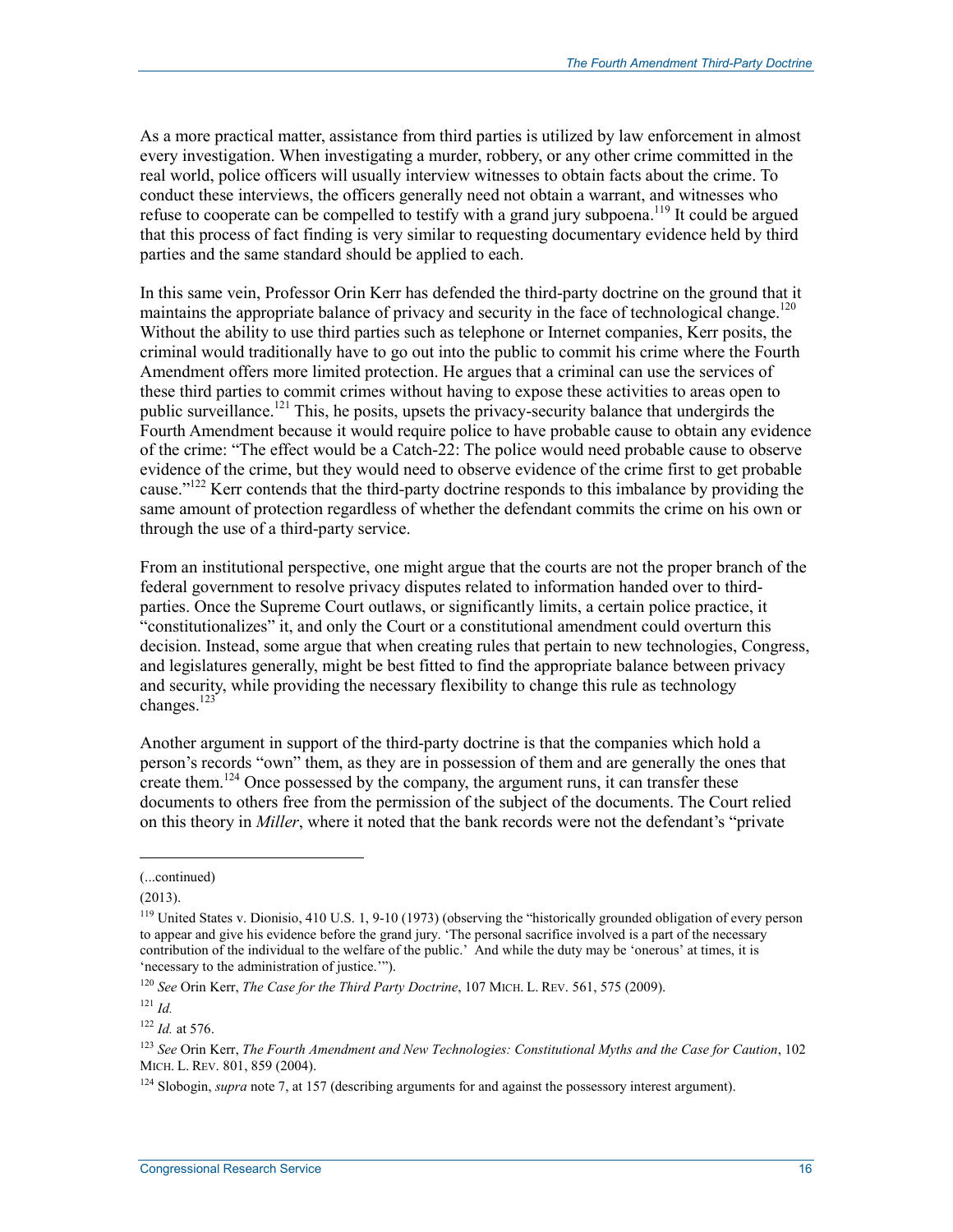As a more practical matter, assistance from third parties is utilized by law enforcement in almost every investigation. When investigating a murder, robbery, or any other crime committed in the real world, police officers will usually interview witnesses to obtain facts about the crime. To conduct these interviews, the officers generally need not obtain a warrant, and witnesses who refuse to cooperate can be compelled to testify with a grand jury subpoena.<sup>119</sup> It could be argued that this process of fact finding is very similar to requesting documentary evidence held by third parties and the same standard should be applied to each.

In this same vein, Professor Orin Kerr has defended the third-party doctrine on the ground that it maintains the appropriate balance of privacy and security in the face of technological change.<sup>120</sup> Without the ability to use third parties such as telephone or Internet companies, Kerr posits, the criminal would traditionally have to go out into the public to commit his crime where the Fourth Amendment offers more limited protection. He argues that a criminal can use the services of these third parties to commit crimes without having to expose these activities to areas open to public surveillance.<sup>121</sup> This, he posits, upsets the privacy-security balance that undergirds the Fourth Amendment because it would require police to have probable cause to obtain any evidence of the crime: "The effect would be a Catch-22: The police would need probable cause to observe evidence of the crime, but they would need to observe evidence of the crime first to get probable cause."<sup>122</sup> Kerr contends that the third-party doctrine responds to this imbalance by providing the same amount of protection regardless of whether the defendant commits the crime on his own or through the use of a third-party service.

From an institutional perspective, one might argue that the courts are not the proper branch of the federal government to resolve privacy disputes related to information handed over to thirdparties. Once the Supreme Court outlaws, or significantly limits, a certain police practice, it "constitutionalizes" it, and only the Court or a constitutional amendment could overturn this decision. Instead, some argue that when creating rules that pertain to new technologies, Congress, and legislatures generally, might be best fitted to find the appropriate balance between privacy and security, while providing the necessary flexibility to change this rule as technology changes. $123$ 

Another argument in support of the third-party doctrine is that the companies which hold a person's records "own" them, as they are in possession of them and are generally the ones that create them.<sup>124</sup> Once possessed by the company, the argument runs, it can transfer these documents to others free from the permission of the subject of the documents. The Court relied on this theory in *Miller*, where it noted that the bank records were not the defendant's "private

<sup>(...</sup>continued)

 $(2013).$ 

<sup>119</sup> United States v. Dionisio, 410 U.S. 1, 9-10 (1973) (observing the "historically grounded obligation of every person to appear and give his evidence before the grand jury. 'The personal sacrifice involved is a part of the necessary contribution of the individual to the welfare of the public.' And while the duty may be 'onerous' at times, it is 'necessary to the administration of justice.'").

<sup>120</sup> *See* Orin Kerr, *The Case for the Third Party Doctrine*, 107 MICH. L. REV. 561, 575 (2009).

 $121$  *Id.* 

<sup>122</sup> *Id.* at 576.

<sup>123</sup> *See* Orin Kerr, *The Fourth Amendment and New Technologies: Constitutional Myths and the Case for Caution*, 102 MICH. L. REV. 801, 859 (2004).

<sup>&</sup>lt;sup>124</sup> Slobogin, *supra* note 7, at 157 (describing arguments for and against the possessory interest argument).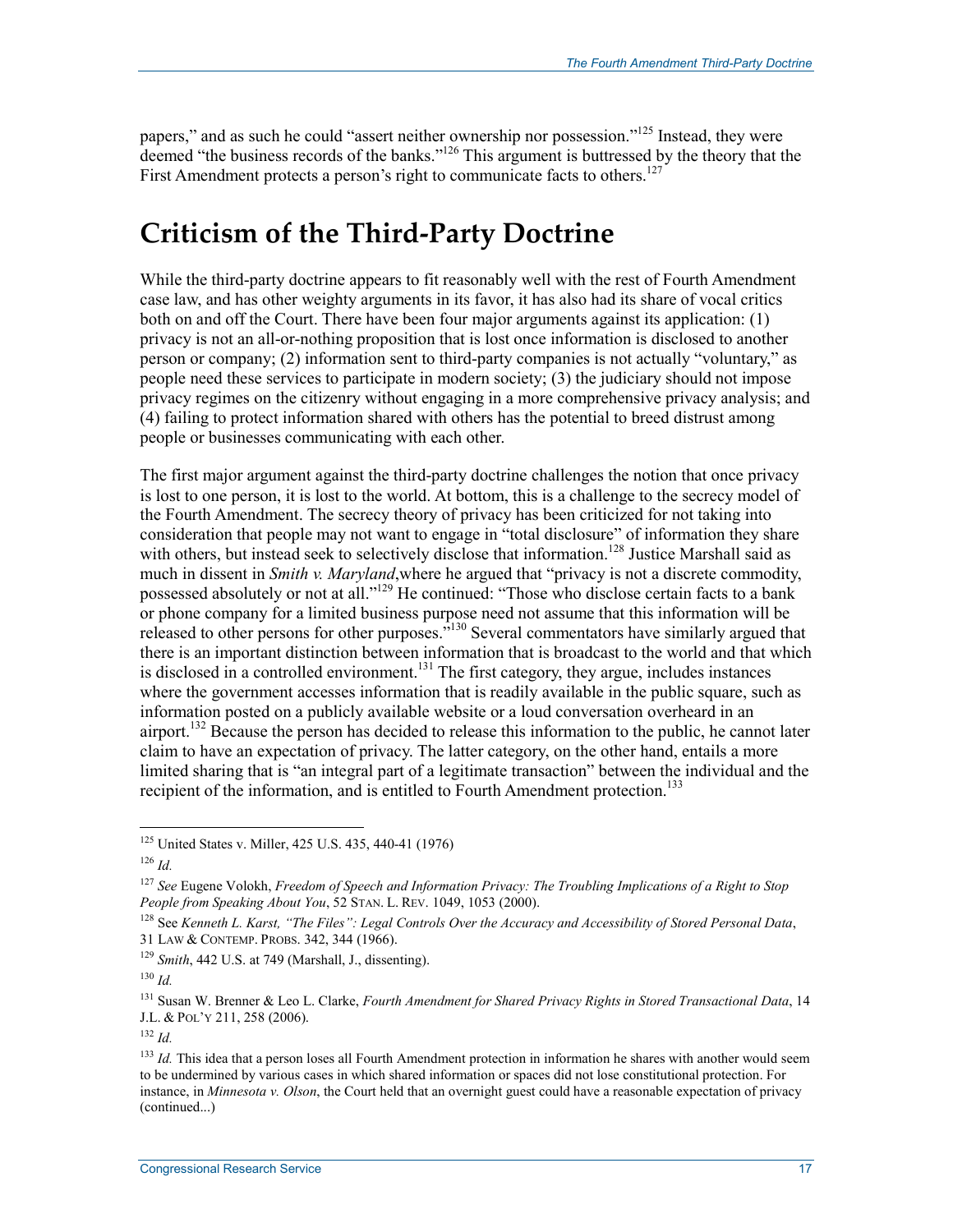papers," and as such he could "assert neither ownership nor possession."<sup>125</sup> Instead, they were deemed "the business records of the banks."<sup>126</sup> This argument is buttressed by the theory that the First Amendment protects a person's right to communicate facts to others.<sup>127</sup>

### **Criticism of the Third-Party Doctrine**

While the third-party doctrine appears to fit reasonably well with the rest of Fourth Amendment case law, and has other weighty arguments in its favor, it has also had its share of vocal critics both on and off the Court. There have been four major arguments against its application: (1) privacy is not an all-or-nothing proposition that is lost once information is disclosed to another person or company; (2) information sent to third-party companies is not actually "voluntary," as people need these services to participate in modern society; (3) the judiciary should not impose privacy regimes on the citizenry without engaging in a more comprehensive privacy analysis; and (4) failing to protect information shared with others has the potential to breed distrust among people or businesses communicating with each other.

The first major argument against the third-party doctrine challenges the notion that once privacy is lost to one person, it is lost to the world. At bottom, this is a challenge to the secrecy model of the Fourth Amendment. The secrecy theory of privacy has been criticized for not taking into consideration that people may not want to engage in "total disclosure" of information they share with others, but instead seek to selectively disclose that information.<sup>128</sup> Justice Marshall said as much in dissent in *Smith v. Maryland*,where he argued that "privacy is not a discrete commodity, possessed absolutely or not at all."129 He continued: "Those who disclose certain facts to a bank or phone company for a limited business purpose need not assume that this information will be released to other persons for other purposes."130 Several commentators have similarly argued that there is an important distinction between information that is broadcast to the world and that which is disclosed in a controlled environment.<sup>131</sup> The first category, they argue, includes instances where the government accesses information that is readily available in the public square, such as information posted on a publicly available website or a loud conversation overheard in an airport.<sup>132</sup> Because the person has decided to release this information to the public, he cannot later claim to have an expectation of privacy. The latter category, on the other hand, entails a more limited sharing that is "an integral part of a legitimate transaction" between the individual and the recipient of the information, and is entitled to Fourth Amendment protection.<sup>133</sup>

<sup>&</sup>lt;sup>125</sup> United States v. Miller, 425 U.S. 435, 440-41 (1976)

 $126$  *Id.* 

<sup>127</sup> *See* Eugene Volokh, *Freedom of Speech and Information Privacy: The Troubling Implications of a Right to Stop People from Speaking About You*, 52 STAN. L. REV. 1049, 1053 (2000).

<sup>128</sup> See *Kenneth L. Karst, "The Files": Legal Controls Over the Accuracy and Accessibility of Stored Personal Data*, 31 LAW & CONTEMP. PROBS. 342, 344 (1966).

<sup>129</sup> *Smith*, 442 U.S. at 749 (Marshall, J., dissenting).

 $130$  *Id.* 

<sup>131</sup> Susan W. Brenner & Leo L. Clarke, *Fourth Amendment for Shared Privacy Rights in Stored Transactional Data*, 14 J.L. & POL'Y 211, 258 (2006).

 $132$  *Id.* 

<sup>&</sup>lt;sup>133</sup> *Id.* This idea that a person loses all Fourth Amendment protection in information he shares with another would seem to be undermined by various cases in which shared information or spaces did not lose constitutional protection. For instance, in *Minnesota v. Olson*, the Court held that an overnight guest could have a reasonable expectation of privacy (continued...)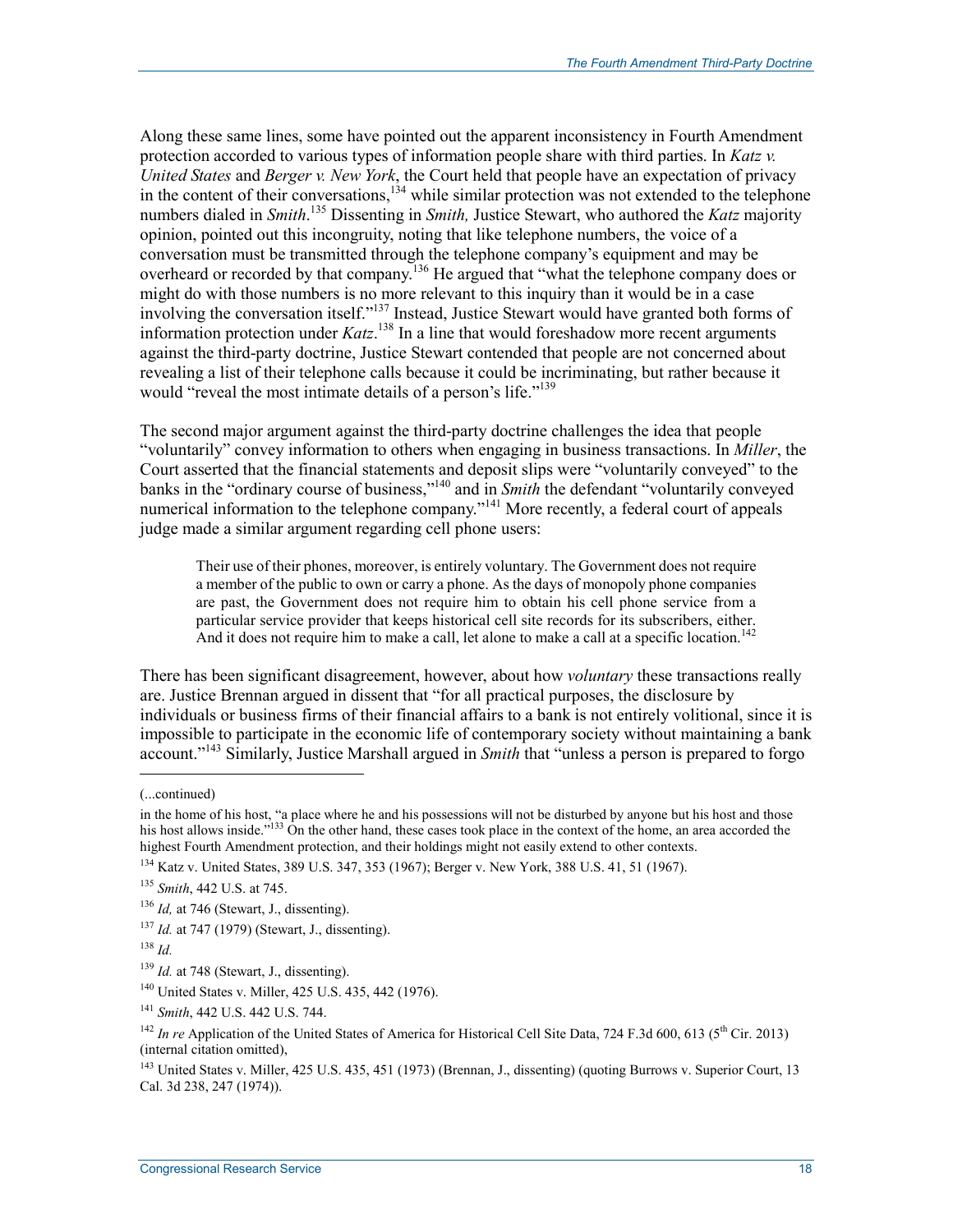Along these same lines, some have pointed out the apparent inconsistency in Fourth Amendment protection accorded to various types of information people share with third parties. In *Katz v. United States* and *Berger v. New York*, the Court held that people have an expectation of privacy in the content of their conversations, $134$  while similar protection was not extended to the telephone numbers dialed in *Smith*. 135 Dissenting in *Smith,* Justice Stewart, who authored the *Katz* majority opinion, pointed out this incongruity, noting that like telephone numbers, the voice of a conversation must be transmitted through the telephone company's equipment and may be overheard or recorded by that company.<sup>136</sup> He argued that "what the telephone company does or might do with those numbers is no more relevant to this inquiry than it would be in a case involving the conversation itself."137 Instead, Justice Stewart would have granted both forms of information protection under *Katz*. 138 In a line that would foreshadow more recent arguments against the third-party doctrine, Justice Stewart contended that people are not concerned about revealing a list of their telephone calls because it could be incriminating, but rather because it would "reveal the most intimate details of a person's life."<sup>139</sup>

The second major argument against the third-party doctrine challenges the idea that people "voluntarily" convey information to others when engaging in business transactions. In *Miller*, the Court asserted that the financial statements and deposit slips were "voluntarily conveyed" to the banks in the "ordinary course of business,"140 and in *Smith* the defendant "voluntarily conveyed numerical information to the telephone company."<sup>141</sup> More recently, a federal court of appeals judge made a similar argument regarding cell phone users:

Their use of their phones, moreover, is entirely voluntary. The Government does not require a member of the public to own or carry a phone. As the days of monopoly phone companies are past, the Government does not require him to obtain his cell phone service from a particular service provider that keeps historical cell site records for its subscribers, either. And it does not require him to make a call, let alone to make a call at a specific location.<sup>142</sup>

There has been significant disagreement, however, about how *voluntary* these transactions really are. Justice Brennan argued in dissent that "for all practical purposes, the disclosure by individuals or business firms of their financial affairs to a bank is not entirely volitional, since it is impossible to participate in the economic life of contemporary society without maintaining a bank account."143 Similarly, Justice Marshall argued in *Smith* that "unless a person is prepared to forgo

 $\overline{\phantom{a}}$ 

<sup>(...</sup>continued)

in the home of his host, "a place where he and his possessions will not be disturbed by anyone but his host and those his host allows inside."<sup>133</sup> On the other hand, these cases took place in the context of the home, an area accorded the highest Fourth Amendment protection, and their holdings might not easily extend to other contexts.

<sup>134</sup> Katz v. United States, 389 U.S. 347, 353 (1967); Berger v. New York, 388 U.S. 41, 51 (1967).

<sup>135</sup> *Smith*, 442 U.S. at 745.

<sup>&</sup>lt;sup>136</sup> *Id*, at 746 (Stewart, J., dissenting).

<sup>137</sup> *Id.* at 747 (1979) (Stewart, J., dissenting).

<sup>138</sup> *Id.*

<sup>&</sup>lt;sup>139</sup> *Id.* at 748 (Stewart, J., dissenting).

<sup>140</sup> United States v. Miller, 425 U.S. 435, 442 (1976).

<sup>141</sup> *Smith*, 442 U.S. 442 U.S. 744.

<sup>&</sup>lt;sup>142</sup> *In re* Application of the United States of America for Historical Cell Site Data, 724 F.3d 600, 613 ( $5<sup>th</sup>$  Cir. 2013) (internal citation omitted),

<sup>&</sup>lt;sup>143</sup> United States v. Miller, 425 U.S. 435, 451 (1973) (Brennan, J., dissenting) (quoting Burrows v. Superior Court, 13 Cal. 3d 238, 247 (1974)).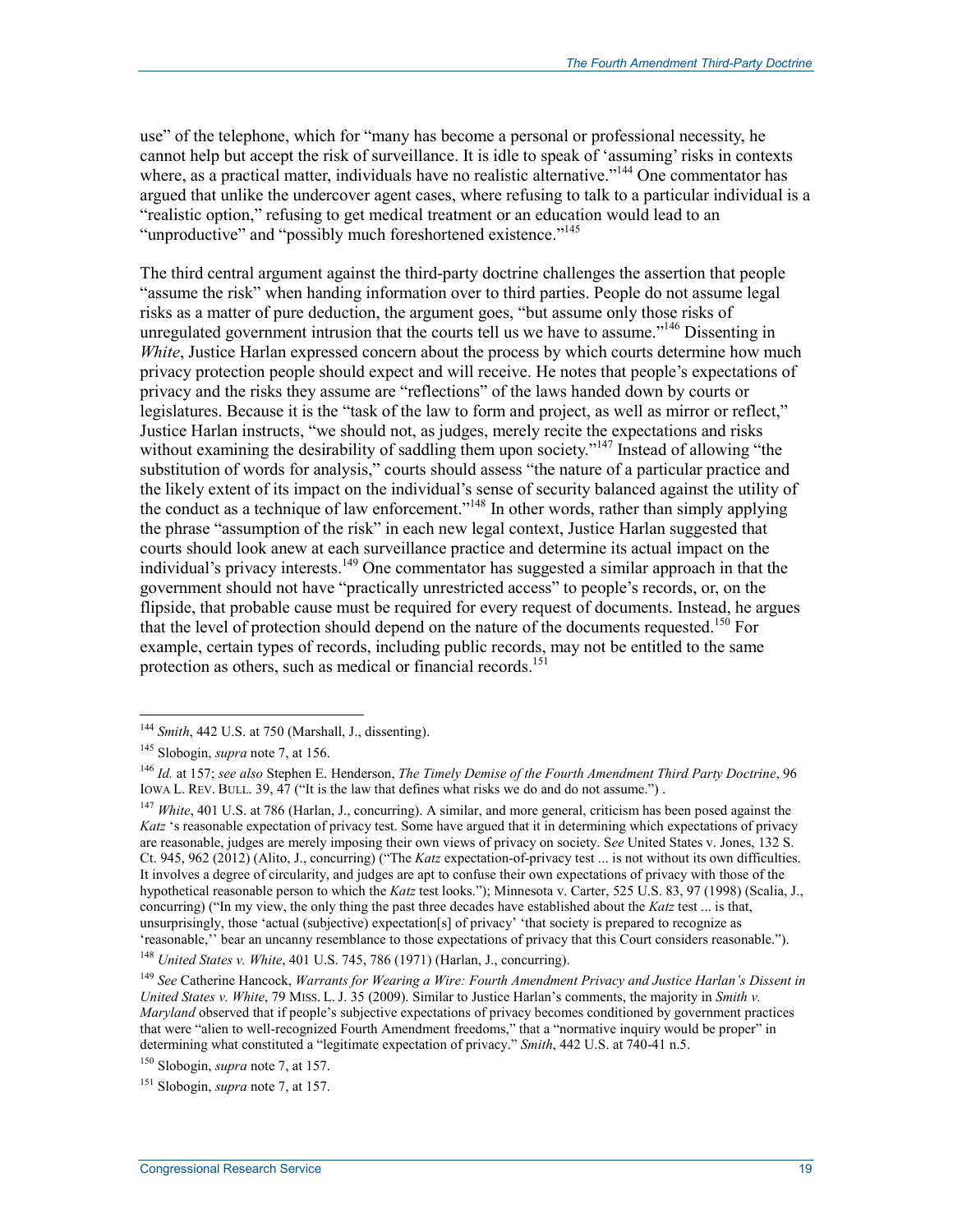use" of the telephone, which for "many has become a personal or professional necessity, he cannot help but accept the risk of surveillance. It is idle to speak of 'assuming' risks in contexts where, as a practical matter, individuals have no realistic alternative."<sup>144</sup> One commentator has argued that unlike the undercover agent cases, where refusing to talk to a particular individual is a "realistic option," refusing to get medical treatment or an education would lead to an "unproductive" and "possibly much foreshortened existence."<sup>145</sup>

The third central argument against the third-party doctrine challenges the assertion that people "assume the risk" when handing information over to third parties. People do not assume legal risks as a matter of pure deduction, the argument goes, "but assume only those risks of unregulated government intrusion that the courts tell us we have to assume."<sup>146</sup> Dissenting in *White*, Justice Harlan expressed concern about the process by which courts determine how much privacy protection people should expect and will receive. He notes that people's expectations of privacy and the risks they assume are "reflections" of the laws handed down by courts or legislatures. Because it is the "task of the law to form and project, as well as mirror or reflect," Justice Harlan instructs, "we should not, as judges, merely recite the expectations and risks without examining the desirability of saddling them upon society."<sup>147</sup> Instead of allowing "the substitution of words for analysis," courts should assess "the nature of a particular practice and the likely extent of its impact on the individual's sense of security balanced against the utility of the conduct as a technique of law enforcement."148 In other words, rather than simply applying the phrase "assumption of the risk" in each new legal context, Justice Harlan suggested that courts should look anew at each surveillance practice and determine its actual impact on the individual's privacy interests.149 One commentator has suggested a similar approach in that the government should not have "practically unrestricted access" to people's records, or, on the flipside, that probable cause must be required for every request of documents. Instead, he argues that the level of protection should depend on the nature of the documents requested.<sup>150</sup> For example, certain types of records, including public records, may not be entitled to the same protection as others, such as medical or financial records.<sup>151</sup>

<u>.</u>

<sup>147</sup> *White*, 401 U.S. at 786 (Harlan, J., concurring). A similar, and more general, criticism has been posed against the *Katz* 's reasonable expectation of privacy test. Some have argued that it in determining which expectations of privacy are reasonable, judges are merely imposing their own views of privacy on society. S*ee* United States v. Jones, 132 S. Ct. 945, 962 (2012) (Alito, J., concurring) ("The *Katz* expectation-of-privacy test ... is not without its own difficulties. It involves a degree of circularity, and judges are apt to confuse their own expectations of privacy with those of the hypothetical reasonable person to which the *Katz* test looks."); Minnesota v. Carter, 525 U.S. 83, 97 (1998) (Scalia, J., concurring) ("In my view, the only thing the past three decades have established about the *Katz* test ... is that, unsurprisingly, those 'actual (subjective) expectation[s] of privacy' 'that society is prepared to recognize as 'reasonable,'' bear an uncanny resemblance to those expectations of privacy that this Court considers reasonable.").

<sup>148</sup> *United States v. White*, 401 U.S. 745, 786 (1971) (Harlan, J., concurring).

<sup>144</sup> *Smith*, 442 U.S. at 750 (Marshall, J., dissenting).

<sup>145</sup> Slobogin, *supra* note 7, at 156.

<sup>146</sup> *Id.* at 157; *see also* Stephen E. Henderson, *The Timely Demise of the Fourth Amendment Third Party Doctrine*, 96 IOWA L. REV. BULL. 39,  $47$  ("It is the law that defines what risks we do and do not assume.").

<sup>149</sup> *See* Catherine Hancock, *Warrants for Wearing a Wire: Fourth Amendment Privacy and Justice Harlan's Dissent in United States v. White*, 79 MISS. L. J. 35 (2009). Similar to Justice Harlan's comments, the majority in *Smith v. Maryland* observed that if people's subjective expectations of privacy becomes conditioned by government practices that were "alien to well-recognized Fourth Amendment freedoms," that a "normative inquiry would be proper" in determining what constituted a "legitimate expectation of privacy." *Smith*, 442 U.S. at 740-41 n.5.

<sup>150</sup> Slobogin, *supra* note 7, at 157.

<sup>151</sup> Slobogin, *supra* note 7, at 157.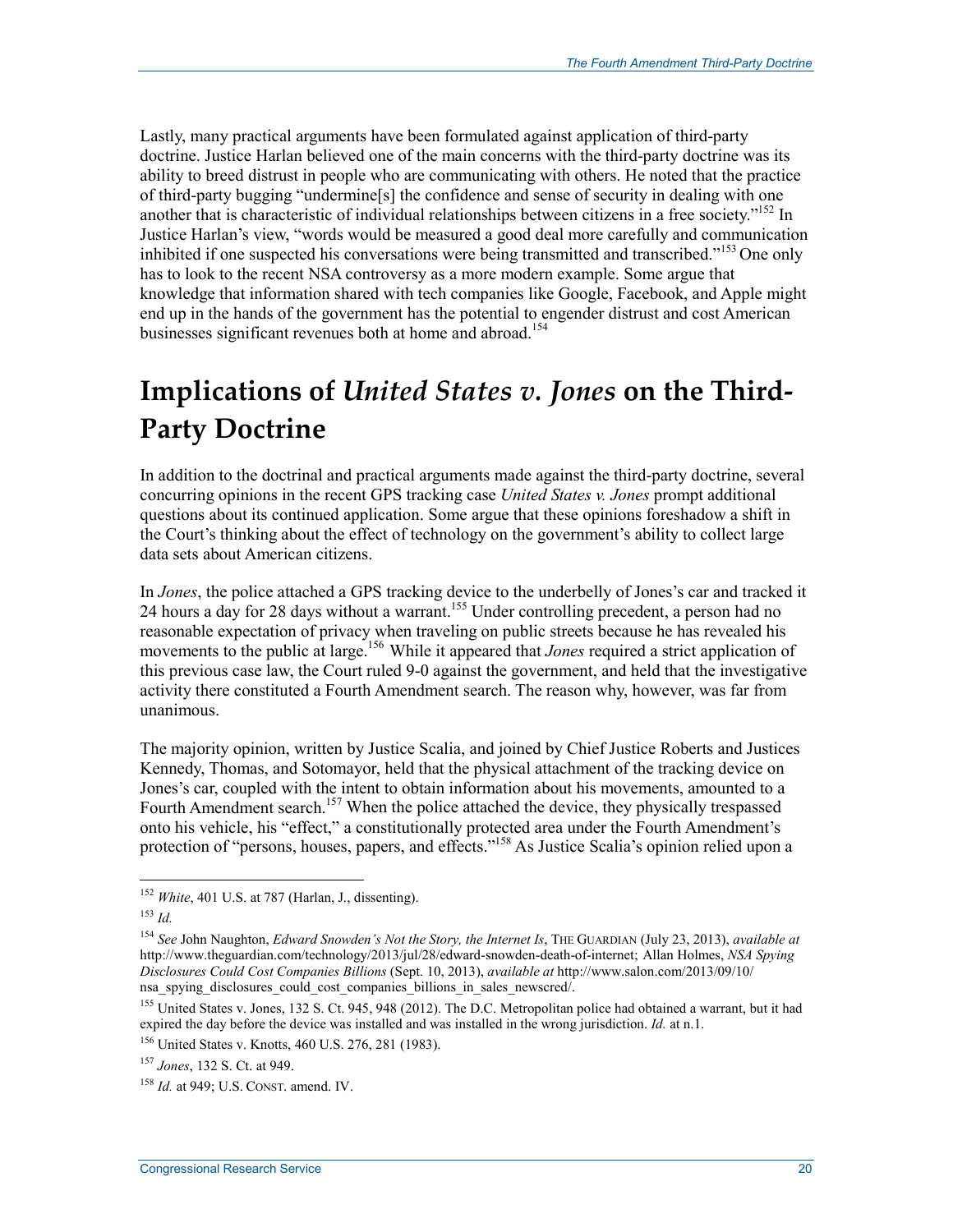Lastly, many practical arguments have been formulated against application of third-party doctrine. Justice Harlan believed one of the main concerns with the third-party doctrine was its ability to breed distrust in people who are communicating with others. He noted that the practice of third-party bugging "undermine[s] the confidence and sense of security in dealing with one another that is characteristic of individual relationships between citizens in a free society."<sup>152</sup> In Justice Harlan's view, "words would be measured a good deal more carefully and communication inhibited if one suspected his conversations were being transmitted and transcribed."<sup>153</sup> One only has to look to the recent NSA controversy as a more modern example. Some argue that knowledge that information shared with tech companies like Google, Facebook, and Apple might end up in the hands of the government has the potential to engender distrust and cost American businesses significant revenues both at home and abroad.<sup>154</sup>

# **Implications of** *United States v. Jones* **on the Third-Party Doctrine**

In addition to the doctrinal and practical arguments made against the third-party doctrine, several concurring opinions in the recent GPS tracking case *United States v. Jones* prompt additional questions about its continued application. Some argue that these opinions foreshadow a shift in the Court's thinking about the effect of technology on the government's ability to collect large data sets about American citizens.

In *Jones*, the police attached a GPS tracking device to the underbelly of Jones's car and tracked it 24 hours a day for 28 days without a warrant.<sup>155</sup> Under controlling precedent, a person had no reasonable expectation of privacy when traveling on public streets because he has revealed his movements to the public at large.<sup>156</sup> While it appeared that *Jones* required a strict application of this previous case law, the Court ruled 9-0 against the government, and held that the investigative activity there constituted a Fourth Amendment search. The reason why, however, was far from unanimous.

The majority opinion, written by Justice Scalia, and joined by Chief Justice Roberts and Justices Kennedy, Thomas, and Sotomayor, held that the physical attachment of the tracking device on Jones's car, coupled with the intent to obtain information about his movements, amounted to a Fourth Amendment search.<sup>157</sup> When the police attached the device, they physically trespassed onto his vehicle, his "effect," a constitutionally protected area under the Fourth Amendment's protection of "persons, houses, papers, and effects."<sup>158</sup> As Justice Scalia's opinion relied upon a

<sup>152</sup> *White*, 401 U.S. at 787 (Harlan, J., dissenting).

<sup>153</sup> *Id.* 

<sup>154</sup> *See* John Naughton, *Edward Snowden's Not the Story, the Internet Is*, THE GUARDIAN (July 23, 2013), *available at*  http://www.theguardian.com/technology/2013/jul/28/edward-snowden-death-of-internet; Allan Holmes, *NSA Spying Disclosures Could Cost Companies Billions* (Sept. 10, 2013), *available at* http://www.salon.com/2013/09/10/ nsa spying disclosures could cost companies billions in sales newscred.

<sup>&</sup>lt;sup>155</sup> United States v. Jones, 132 S. Ct. 945, 948 (2012). The D.C. Metropolitan police had obtained a warrant, but it had expired the day before the device was installed and was installed in the wrong jurisdiction. *Id.* at n.1.

<sup>156</sup> United States v. Knotts, 460 U.S. 276, 281 (1983).

<sup>157</sup> *Jones*, 132 S. Ct. at 949.

<sup>158</sup> *Id.* at 949; U.S. CONST. amend. IV.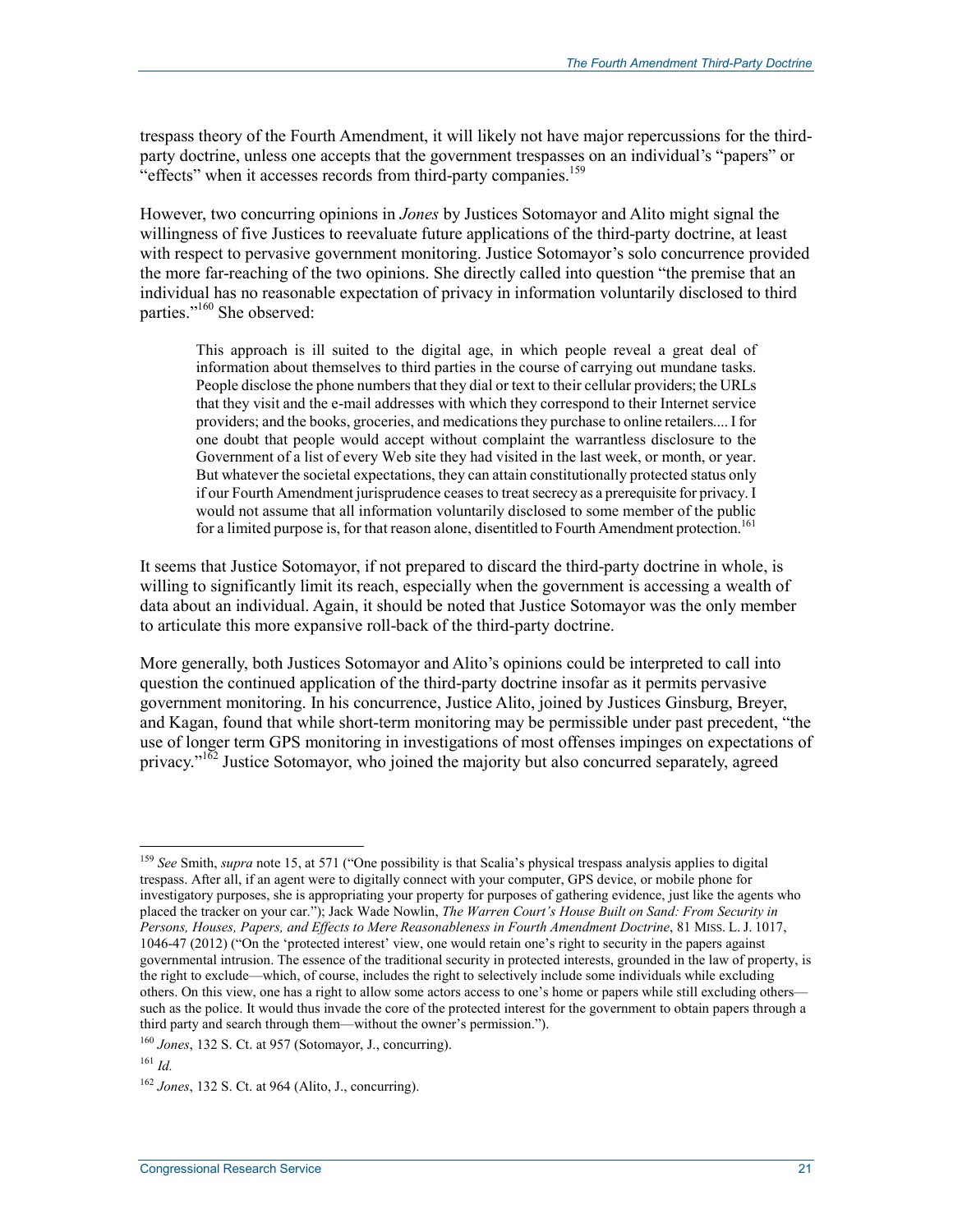trespass theory of the Fourth Amendment, it will likely not have major repercussions for the thirdparty doctrine, unless one accepts that the government trespasses on an individual's "papers" or "effects" when it accesses records from third-party companies.<sup>159</sup>

However, two concurring opinions in *Jones* by Justices Sotomayor and Alito might signal the willingness of five Justices to reevaluate future applications of the third-party doctrine, at least with respect to pervasive government monitoring. Justice Sotomayor's solo concurrence provided the more far-reaching of the two opinions. She directly called into question "the premise that an individual has no reasonable expectation of privacy in information voluntarily disclosed to third parties."<sup>160</sup> She observed:

This approach is ill suited to the digital age, in which people reveal a great deal of information about themselves to third parties in the course of carrying out mundane tasks. People disclose the phone numbers that they dial or text to their cellular providers; the URLs that they visit and the e-mail addresses with which they correspond to their Internet service providers; and the books, groceries, and medications they purchase to online retailers.... I for one doubt that people would accept without complaint the warrantless disclosure to the Government of a list of every Web site they had visited in the last week, or month, or year. But whatever the societal expectations, they can attain constitutionally protected status only if our Fourth Amendment jurisprudence ceases to treat secrecy as a prerequisite for privacy. I would not assume that all information voluntarily disclosed to some member of the public for a limited purpose is, for that reason alone, disentitled to Fourth Amendment protection.<sup>161</sup>

It seems that Justice Sotomayor, if not prepared to discard the third-party doctrine in whole, is willing to significantly limit its reach, especially when the government is accessing a wealth of data about an individual. Again, it should be noted that Justice Sotomayor was the only member to articulate this more expansive roll-back of the third-party doctrine.

More generally, both Justices Sotomayor and Alito's opinions could be interpreted to call into question the continued application of the third-party doctrine insofar as it permits pervasive government monitoring. In his concurrence, Justice Alito, joined by Justices Ginsburg, Breyer, and Kagan, found that while short-term monitoring may be permissible under past precedent, "the use of longer term GPS monitoring in investigations of most offenses impinges on expectations of privacy." $162$  Justice Sotomayor, who joined the majority but also concurred separately, agreed

<sup>&</sup>lt;sup>159</sup> See Smith, *supra* note 15, at 571 ("One possibility is that Scalia's physical trespass analysis applies to digital trespass. After all, if an agent were to digitally connect with your computer, GPS device, or mobile phone for investigatory purposes, she is appropriating your property for purposes of gathering evidence, just like the agents who placed the tracker on your car."); Jack Wade Nowlin, *The Warren Court's House Built on Sand: From Security in Persons, Houses, Papers, and Effects to Mere Reasonableness in Fourth Amendment Doctrine*, 81 MISS. L. J. 1017, 1046-47 (2012) ("On the 'protected interest' view, one would retain one's right to security in the papers against governmental intrusion. The essence of the traditional security in protected interests, grounded in the law of property, is the right to exclude—which, of course, includes the right to selectively include some individuals while excluding others. On this view, one has a right to allow some actors access to one's home or papers while still excluding others such as the police. It would thus invade the core of the protected interest for the government to obtain papers through a third party and search through them—without the owner's permission.").

<sup>160</sup> *Jones*, 132 S. Ct. at 957 (Sotomayor, J., concurring).

 $161$  *Id.* 

<sup>162</sup> *Jones*, 132 S. Ct. at 964 (Alito, J., concurring).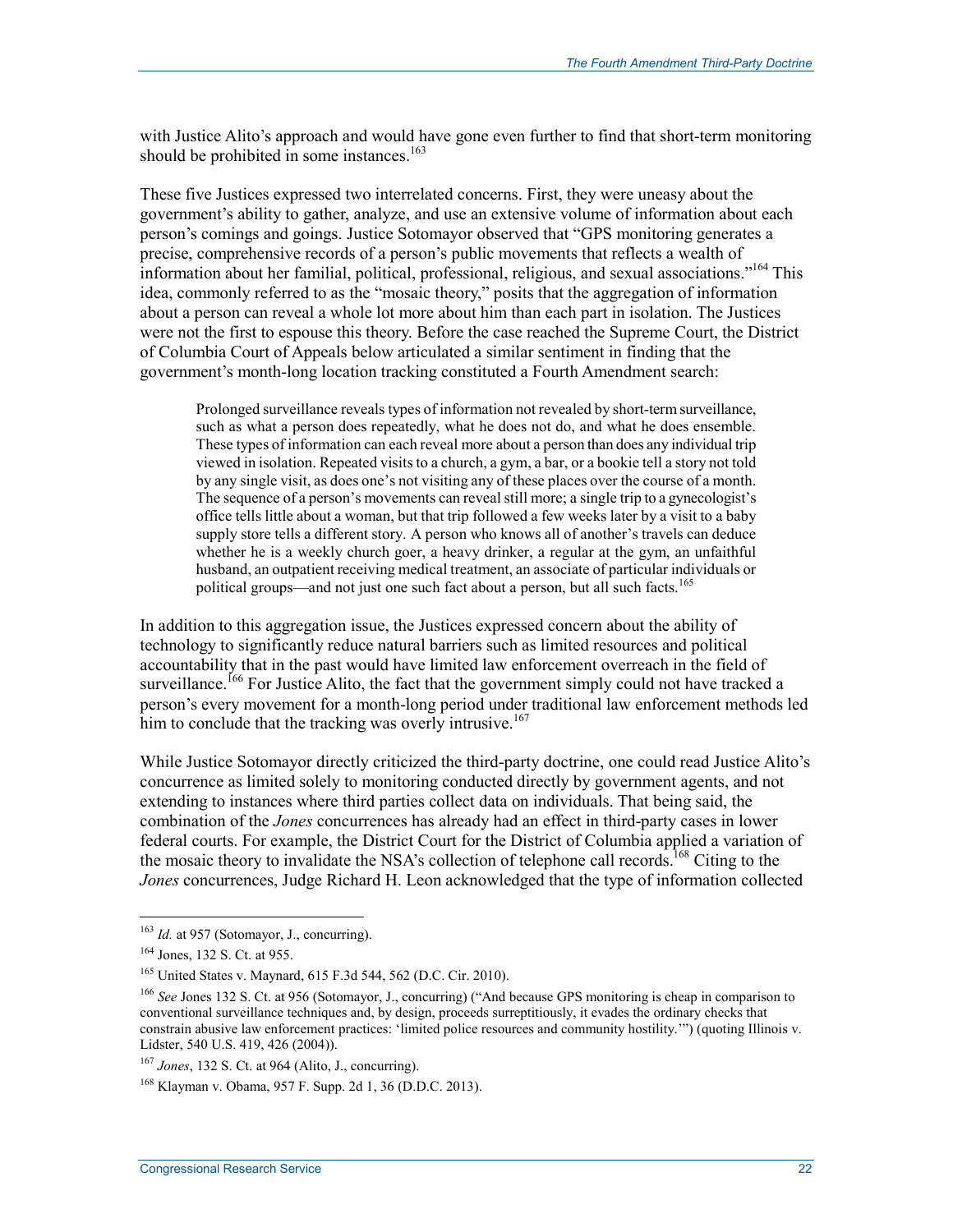with Justice Alito's approach and would have gone even further to find that short-term monitoring should be prohibited in some instances.<sup>163</sup>

These five Justices expressed two interrelated concerns. First, they were uneasy about the government's ability to gather, analyze, and use an extensive volume of information about each person's comings and goings. Justice Sotomayor observed that "GPS monitoring generates a precise, comprehensive records of a person's public movements that reflects a wealth of information about her familial, political, professional, religious, and sexual associations."<sup>164</sup> This idea, commonly referred to as the "mosaic theory," posits that the aggregation of information about a person can reveal a whole lot more about him than each part in isolation. The Justices were not the first to espouse this theory. Before the case reached the Supreme Court, the District of Columbia Court of Appeals below articulated a similar sentiment in finding that the government's month-long location tracking constituted a Fourth Amendment search:

Prolonged surveillance reveals types of information not revealed by short-term surveillance, such as what a person does repeatedly, what he does not do, and what he does ensemble. These types of information can each reveal more about a person than does any individual trip viewed in isolation. Repeated visits to a church, a gym, a bar, or a bookie tell a story not told by any single visit, as does one's not visiting any of these places over the course of a month. The sequence of a person's movements can reveal still more; a single trip to a gynecologist's office tells little about a woman, but that trip followed a few weeks later by a visit to a baby supply store tells a different story. A person who knows all of another's travels can deduce whether he is a weekly church goer, a heavy drinker, a regular at the gym, an unfaithful husband, an outpatient receiving medical treatment, an associate of particular individuals or political groups—and not just one such fact about a person, but all such facts.<sup>165</sup>

In addition to this aggregation issue, the Justices expressed concern about the ability of technology to significantly reduce natural barriers such as limited resources and political accountability that in the past would have limited law enforcement overreach in the field of surveillance.<sup>166</sup> For Justice Alito, the fact that the government simply could not have tracked a person's every movement for a month-long period under traditional law enforcement methods led him to conclude that the tracking was overly intrusive.<sup>167</sup>

While Justice Sotomayor directly criticized the third-party doctrine, one could read Justice Alito's concurrence as limited solely to monitoring conducted directly by government agents, and not extending to instances where third parties collect data on individuals. That being said, the combination of the *Jones* concurrences has already had an effect in third-party cases in lower federal courts. For example, the District Court for the District of Columbia applied a variation of the mosaic theory to invalidate the NSA's collection of telephone call records.<sup>168</sup> Citing to the *Jones* concurrences, Judge Richard H. Leon acknowledged that the type of information collected

<sup>&</sup>lt;sup>163</sup> *Id.* at 957 (Sotomayor, J., concurring).

<sup>164</sup> Jones, 132 S. Ct. at 955.

<sup>165</sup> United States v. Maynard, 615 F.3d 544, 562 (D.C. Cir. 2010).

<sup>166</sup> *See* Jones 132 S. Ct. at 956 (Sotomayor, J., concurring) ("And because GPS monitoring is cheap in comparison to conventional surveillance techniques and, by design, proceeds surreptitiously, it evades the ordinary checks that constrain abusive law enforcement practices: 'limited police resources and community hostility.'") (quoting Illinois v. Lidster, 540 U.S. 419, 426 (2004)).

<sup>167</sup> *Jones*, 132 S. Ct. at 964 (Alito, J., concurring).

<sup>168</sup> Klayman v. Obama, 957 F. Supp. 2d 1, 36 (D.D.C. 2013).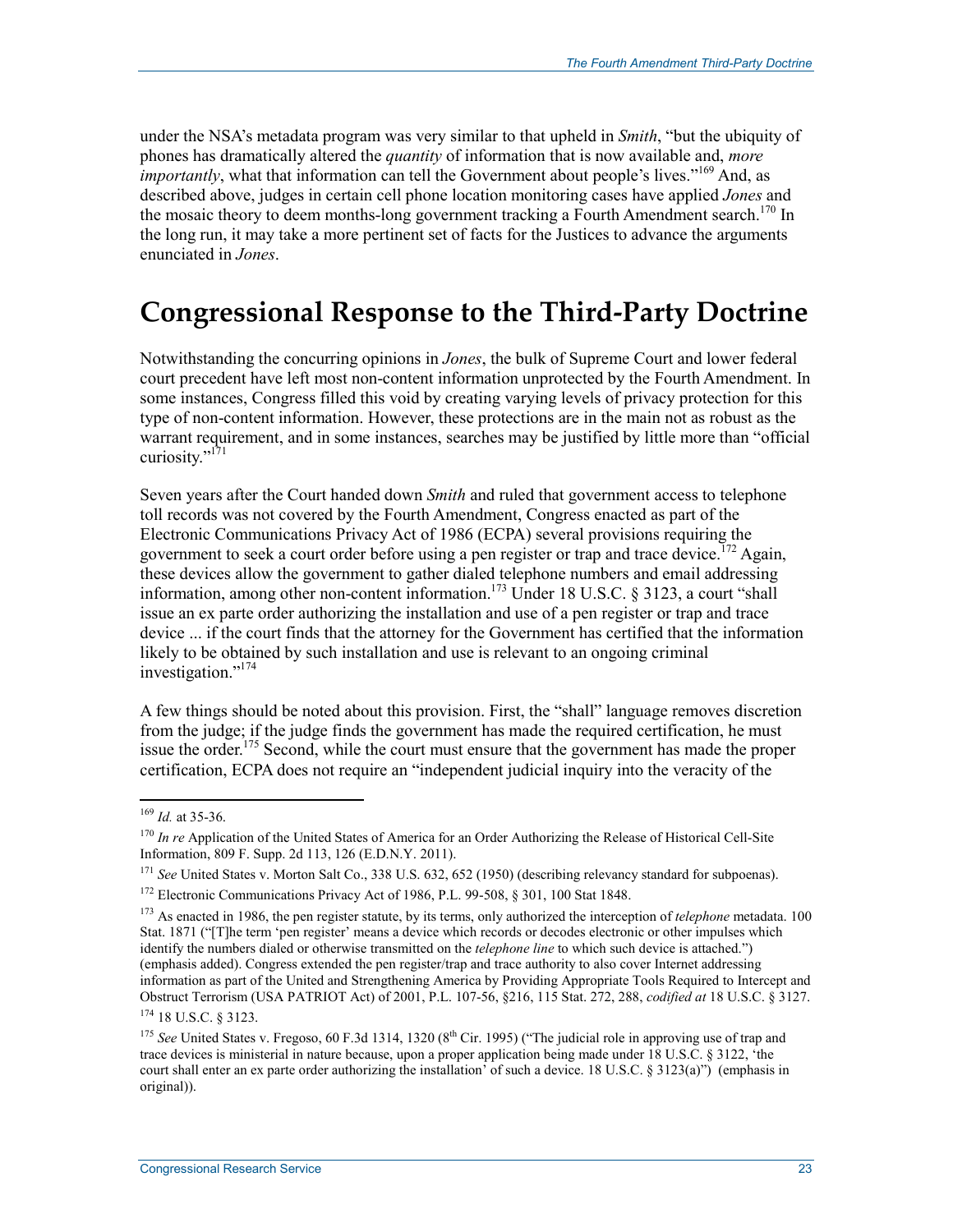under the NSA's metadata program was very similar to that upheld in *Smith*, "but the ubiquity of phones has dramatically altered the *quantity* of information that is now available and, *more importantly*, what that information can tell the Government about people's lives."<sup>169</sup> And, as described above, judges in certain cell phone location monitoring cases have applied *Jones* and the mosaic theory to deem months-long government tracking a Fourth Amendment search.<sup>170</sup> In the long run, it may take a more pertinent set of facts for the Justices to advance the arguments enunciated in *Jones*.

### **Congressional Response to the Third-Party Doctrine**

Notwithstanding the concurring opinions in *Jones*, the bulk of Supreme Court and lower federal court precedent have left most non-content information unprotected by the Fourth Amendment. In some instances, Congress filled this void by creating varying levels of privacy protection for this type of non-content information. However, these protections are in the main not as robust as the warrant requirement, and in some instances, searches may be justified by little more than "official curiosity."<sup>171</sup>

Seven years after the Court handed down *Smith* and ruled that government access to telephone toll records was not covered by the Fourth Amendment, Congress enacted as part of the Electronic Communications Privacy Act of 1986 (ECPA) several provisions requiring the government to seek a court order before using a pen register or trap and trace device.<sup>172</sup> Again, these devices allow the government to gather dialed telephone numbers and email addressing information, among other non-content information.<sup>173</sup> Under 18 U.S.C. § 3123, a court "shall issue an ex parte order authorizing the installation and use of a pen register or trap and trace device ... if the court finds that the attorney for the Government has certified that the information likely to be obtained by such installation and use is relevant to an ongoing criminal investigation."174

A few things should be noted about this provision. First, the "shall" language removes discretion from the judge; if the judge finds the government has made the required certification, he must issue the order.<sup>175</sup> Second, while the court must ensure that the government has made the proper certification, ECPA does not require an "independent judicial inquiry into the veracity of the

<sup>169</sup> *Id.* at 35-36.

<sup>&</sup>lt;sup>170</sup> *In re* Application of the United States of America for an Order Authorizing the Release of Historical Cell-Site Information, 809 F. Supp. 2d 113, 126 (E.D.N.Y. 2011).

<sup>&</sup>lt;sup>171</sup> See United States v. Morton Salt Co., 338 U.S. 632, 652 (1950) (describing relevancy standard for subpoenas).

<sup>&</sup>lt;sup>172</sup> Electronic Communications Privacy Act of 1986, P.L. 99-508, § 301, 100 Stat 1848.

<sup>173</sup> As enacted in 1986, the pen register statute, by its terms, only authorized the interception of *telephone* metadata. 100 Stat. 1871 ("[T]he term 'pen register' means a device which records or decodes electronic or other impulses which identify the numbers dialed or otherwise transmitted on the *telephone line* to which such device is attached.") (emphasis added). Congress extended the pen register/trap and trace authority to also cover Internet addressing information as part of the United and Strengthening America by Providing Appropriate Tools Required to Intercept and Obstruct Terrorism (USA PATRIOT Act) of 2001, P.L. 107-56, §216, 115 Stat. 272, 288, *codified at* 18 U.S.C. § 3127. 174 18 U.S.C. § 3123.

<sup>&</sup>lt;sup>175</sup> See United States v. Fregoso, 60 F.3d 1314, 1320 (8<sup>th</sup> Cir. 1995) ("The judicial role in approving use of trap and trace devices is ministerial in nature because, upon a proper application being made under 18 U.S.C. § 3122, 'the court shall enter an ex parte order authorizing the installation' of such a device. 18 U.S.C. § 3123(a)") (emphasis in original)).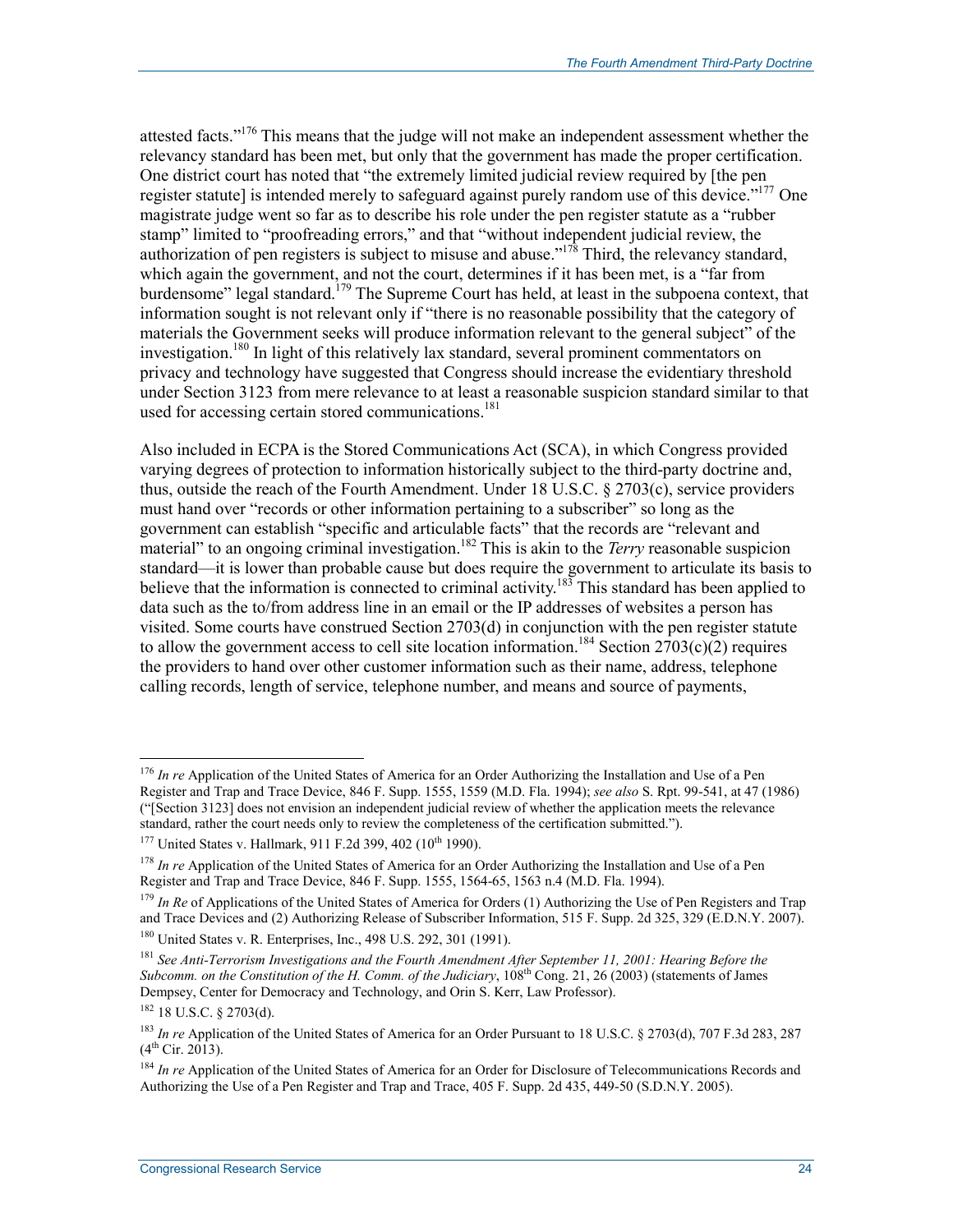attested facts."<sup>176</sup> This means that the judge will not make an independent assessment whether the relevancy standard has been met, but only that the government has made the proper certification. One district court has noted that "the extremely limited judicial review required by [the pen register statute] is intended merely to safeguard against purely random use of this device."<sup>177</sup> One magistrate judge went so far as to describe his role under the pen register statute as a "rubber stamp" limited to "proofreading errors," and that "without independent judicial review, the authorization of pen registers is subject to misuse and abuse."178 Third, the relevancy standard, which again the government, and not the court, determines if it has been met, is a "far from burdensome" legal standard.<sup>179</sup> The Supreme Court has held, at least in the subpoena context, that information sought is not relevant only if "there is no reasonable possibility that the category of materials the Government seeks will produce information relevant to the general subject" of the investigation.<sup>180</sup> In light of this relatively lax standard, several prominent commentators on privacy and technology have suggested that Congress should increase the evidentiary threshold under Section 3123 from mere relevance to at least a reasonable suspicion standard similar to that used for accessing certain stored communications.<sup>181</sup>

Also included in ECPA is the Stored Communications Act (SCA), in which Congress provided varying degrees of protection to information historically subject to the third-party doctrine and, thus, outside the reach of the Fourth Amendment. Under 18 U.S.C. § 2703(c), service providers must hand over "records or other information pertaining to a subscriber" so long as the government can establish "specific and articulable facts" that the records are "relevant and material" to an ongoing criminal investigation.<sup>182</sup> This is akin to the *Terry* reasonable suspicion standard—it is lower than probable cause but does require the government to articulate its basis to believe that the information is connected to criminal activity.<sup>183</sup> This standard has been applied to data such as the to/from address line in an email or the IP addresses of websites a person has visited. Some courts have construed Section 2703(d) in conjunction with the pen register statute to allow the government access to cell site location information.<sup>184</sup> Section 2703(c)(2) requires the providers to hand over other customer information such as their name, address, telephone calling records, length of service, telephone number, and means and source of payments,

180 United States v. R. Enterprises, Inc., 498 U.S. 292, 301 (1991).

<sup>176</sup> *In re* Application of the United States of America for an Order Authorizing the Installation and Use of a Pen Register and Trap and Trace Device, 846 F. Supp. 1555, 1559 (M.D. Fla. 1994); *see also* S. Rpt. 99-541, at 47 (1986) ("[Section 3123] does not envision an independent judicial review of whether the application meets the relevance standard, rather the court needs only to review the completeness of the certification submitted.").

 $177$  United States v. Hallmark, 911 F.2d 399, 402 ( $10^{th}$  1990).

<sup>&</sup>lt;sup>178</sup> *In re* Application of the United States of America for an Order Authorizing the Installation and Use of a Pen Register and Trap and Trace Device, 846 F. Supp. 1555, 1564-65, 1563 n.4 (M.D. Fla. 1994).

<sup>179</sup> *In Re* of Applications of the United States of America for Orders (1) Authorizing the Use of Pen Registers and Trap and Trace Devices and (2) Authorizing Release of Subscriber Information, 515 F. Supp. 2d 325, 329 (E.D.N.Y. 2007).

<sup>181</sup> *See Anti-Terrorism Investigations and the Fourth Amendment After September 11, 2001: Hearing Before the Subcomm. on the Constitution of the H. Comm. of the Judiciary*, 108th Cong. 21, 26 (2003) (statements of James Dempsey, Center for Democracy and Technology, and Orin S. Kerr, Law Professor).

<sup>182 18</sup> U.S.C. § 2703(d).

<sup>183</sup> *In re* Application of the United States of America for an Order Pursuant to 18 U.S.C. § 2703(d), 707 F.3d 283, 287  $(4^{th}$  Cir. 2013).

<sup>&</sup>lt;sup>184</sup> *In re* Application of the United States of America for an Order for Disclosure of Telecommunications Records and Authorizing the Use of a Pen Register and Trap and Trace, 405 F. Supp. 2d 435, 449-50 (S.D.N.Y. 2005).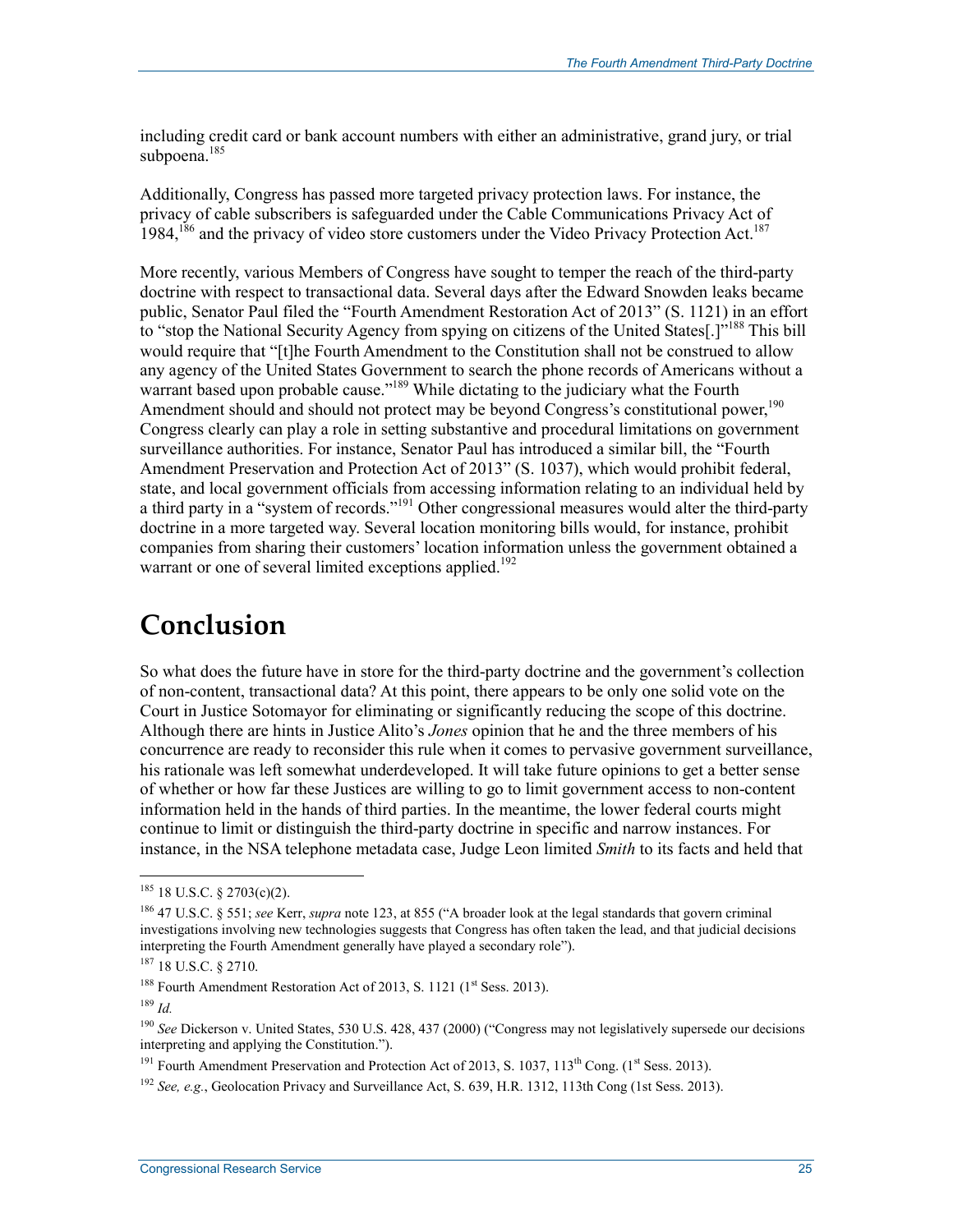including credit card or bank account numbers with either an administrative, grand jury, or trial subpoena.<sup>185</sup>

Additionally, Congress has passed more targeted privacy protection laws. For instance, the privacy of cable subscribers is safeguarded under the Cable Communications Privacy Act of  $1984$ ,<sup>186</sup> and the privacy of video store customers under the Video Privacy Protection Act.<sup>187</sup>

More recently, various Members of Congress have sought to temper the reach of the third-party doctrine with respect to transactional data. Several days after the Edward Snowden leaks became public, Senator Paul filed the "Fourth Amendment Restoration Act of 2013" (S. 1121) in an effort to "stop the National Security Agency from spying on citizens of the United States[.]<sup>"188</sup> This bill would require that "[t]he Fourth Amendment to the Constitution shall not be construed to allow any agency of the United States Government to search the phone records of Americans without a warrant based upon probable cause."<sup>189</sup> While dictating to the judiciary what the Fourth Amendment should and should not protect may be beyond Congress's constitutional power,<sup>190</sup> Congress clearly can play a role in setting substantive and procedural limitations on government surveillance authorities. For instance, Senator Paul has introduced a similar bill, the "Fourth Amendment Preservation and Protection Act of 2013" (S. 1037), which would prohibit federal, state, and local government officials from accessing information relating to an individual held by a third party in a "system of records."<sup>191</sup> Other congressional measures would alter the third-party doctrine in a more targeted way. Several location monitoring bills would, for instance, prohibit companies from sharing their customers' location information unless the government obtained a warrant or one of several limited exceptions applied.<sup>192</sup>

### **Conclusion**

So what does the future have in store for the third-party doctrine and the government's collection of non-content, transactional data? At this point, there appears to be only one solid vote on the Court in Justice Sotomayor for eliminating or significantly reducing the scope of this doctrine. Although there are hints in Justice Alito's *Jones* opinion that he and the three members of his concurrence are ready to reconsider this rule when it comes to pervasive government surveillance, his rationale was left somewhat underdeveloped. It will take future opinions to get a better sense of whether or how far these Justices are willing to go to limit government access to non-content information held in the hands of third parties. In the meantime, the lower federal courts might continue to limit or distinguish the third-party doctrine in specific and narrow instances. For instance, in the NSA telephone metadata case, Judge Leon limited *Smith* to its facts and held that

 $185$  18 U.S.C. § 2703(c)(2).

<sup>186 47</sup> U.S.C. § 551; *see* Kerr, *supra* note 123, at 855 ("A broader look at the legal standards that govern criminal investigations involving new technologies suggests that Congress has often taken the lead, and that judicial decisions interpreting the Fourth Amendment generally have played a secondary role").

<sup>187 18</sup> U.S.C. § 2710.

<sup>&</sup>lt;sup>188</sup> Fourth Amendment Restoration Act of 2013, S. 1121  $(1<sup>st</sup> Sess. 2013)$ .

 $189$  *Id.* 

<sup>&</sup>lt;sup>190</sup> See Dickerson v. United States, 530 U.S. 428, 437 (2000) ("Congress may not legislatively supersede our decisions interpreting and applying the Constitution.").

<sup>&</sup>lt;sup>191</sup> Fourth Amendment Preservation and Protection Act of 2013, S. 1037,  $113<sup>th</sup>$  Cong. (1<sup>st</sup> Sess. 2013).

<sup>192</sup> *See, e.g.*, Geolocation Privacy and Surveillance Act, S. 639, H.R. 1312, 113th Cong (1st Sess. 2013).